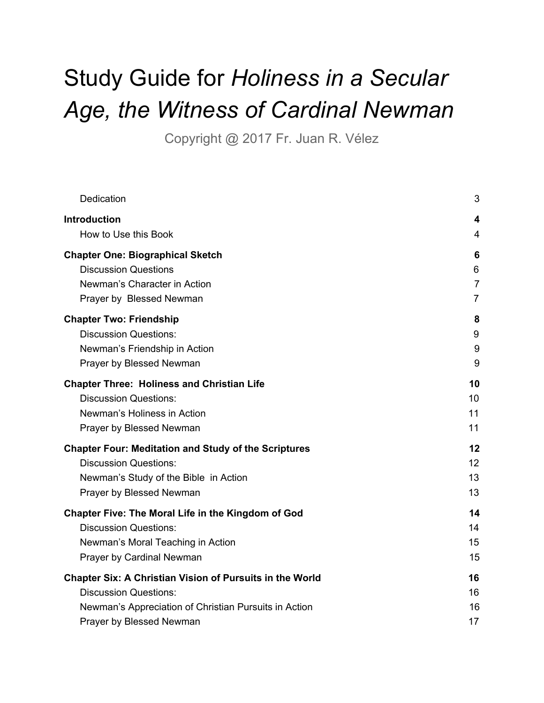# Study Guide for *Holiness in a Secular Age, the Witness of Cardinal Newman*

Copyright @ 2017 Fr. Juan R. Vélez

| Dedication                                                      | 3              |
|-----------------------------------------------------------------|----------------|
| <b>Introduction</b>                                             | 4              |
| How to Use this Book                                            | $\overline{4}$ |
| <b>Chapter One: Biographical Sketch</b>                         | 6              |
| <b>Discussion Questions</b>                                     | 6              |
| Newman's Character in Action                                    | $\overline{7}$ |
| Prayer by Blessed Newman                                        | $\overline{7}$ |
| <b>Chapter Two: Friendship</b>                                  | 8              |
| <b>Discussion Questions:</b>                                    | 9              |
| Newman's Friendship in Action                                   | 9              |
| Prayer by Blessed Newman                                        | 9              |
| <b>Chapter Three: Holiness and Christian Life</b>               | 10             |
| <b>Discussion Questions:</b>                                    | 10             |
| Newman's Holiness in Action                                     | 11             |
| Prayer by Blessed Newman                                        | 11             |
| <b>Chapter Four: Meditation and Study of the Scriptures</b>     | 12             |
| <b>Discussion Questions:</b>                                    | 12             |
| Newman's Study of the Bible in Action                           | 13             |
| Prayer by Blessed Newman                                        | 13             |
| Chapter Five: The Moral Life in the Kingdom of God              | 14             |
| <b>Discussion Questions:</b>                                    | 14             |
| Newman's Moral Teaching in Action                               | 15             |
| Prayer by Cardinal Newman                                       | 15             |
| <b>Chapter Six: A Christian Vision of Pursuits in the World</b> | 16             |
| <b>Discussion Questions:</b>                                    | 16             |
| Newman's Appreciation of Christian Pursuits in Action           | 16             |
| Prayer by Blessed Newman                                        | 17             |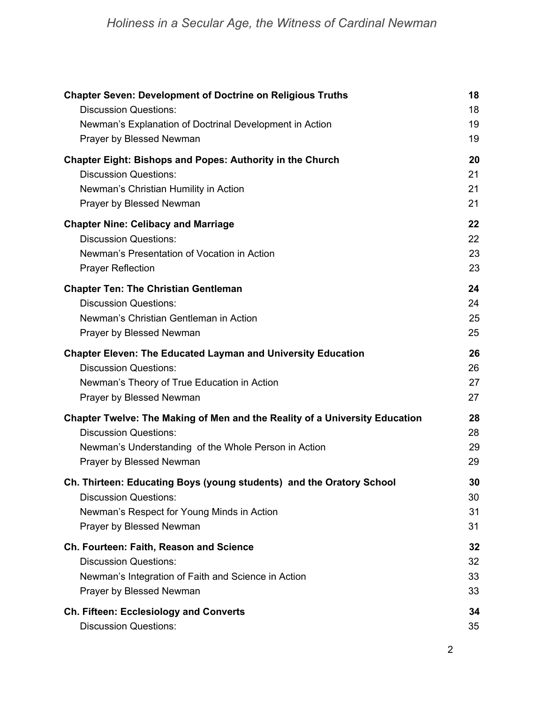<span id="page-1-0"></span>

| <b>Chapter Seven: Development of Doctrine on Religious Truths</b>                  | 18 |
|------------------------------------------------------------------------------------|----|
| <b>Discussion Questions:</b>                                                       | 18 |
| Newman's Explanation of Doctrinal Development in Action                            | 19 |
| Prayer by Blessed Newman                                                           | 19 |
| <b>Chapter Eight: Bishops and Popes: Authority in the Church</b>                   | 20 |
| <b>Discussion Questions:</b>                                                       | 21 |
| Newman's Christian Humility in Action                                              | 21 |
| Prayer by Blessed Newman                                                           | 21 |
| <b>Chapter Nine: Celibacy and Marriage</b>                                         | 22 |
| <b>Discussion Questions:</b>                                                       | 22 |
| Newman's Presentation of Vocation in Action                                        | 23 |
| <b>Prayer Reflection</b>                                                           | 23 |
| <b>Chapter Ten: The Christian Gentleman</b>                                        | 24 |
| <b>Discussion Questions:</b>                                                       | 24 |
| Newman's Christian Gentleman in Action                                             | 25 |
| Prayer by Blessed Newman                                                           | 25 |
| <b>Chapter Eleven: The Educated Layman and University Education</b>                | 26 |
| <b>Discussion Questions:</b>                                                       | 26 |
| Newman's Theory of True Education in Action                                        | 27 |
| Prayer by Blessed Newman                                                           | 27 |
| <b>Chapter Twelve: The Making of Men and the Reality of a University Education</b> | 28 |
| <b>Discussion Questions:</b>                                                       | 28 |
| Newman's Understanding of the Whole Person in Action                               | 29 |
| Prayer by Blessed Newman                                                           | 29 |
| Ch. Thirteen: Educating Boys (young students) and the Oratory School               | 30 |
| <b>Discussion Questions:</b>                                                       | 30 |
| Newman's Respect for Young Minds in Action                                         | 31 |
| Prayer by Blessed Newman                                                           | 31 |
| Ch. Fourteen: Faith, Reason and Science                                            | 32 |
| <b>Discussion Questions:</b>                                                       | 32 |
| Newman's Integration of Faith and Science in Action                                | 33 |
| Prayer by Blessed Newman                                                           | 33 |
| <b>Ch. Fifteen: Ecclesiology and Converts</b>                                      | 34 |
| <b>Discussion Questions:</b>                                                       | 35 |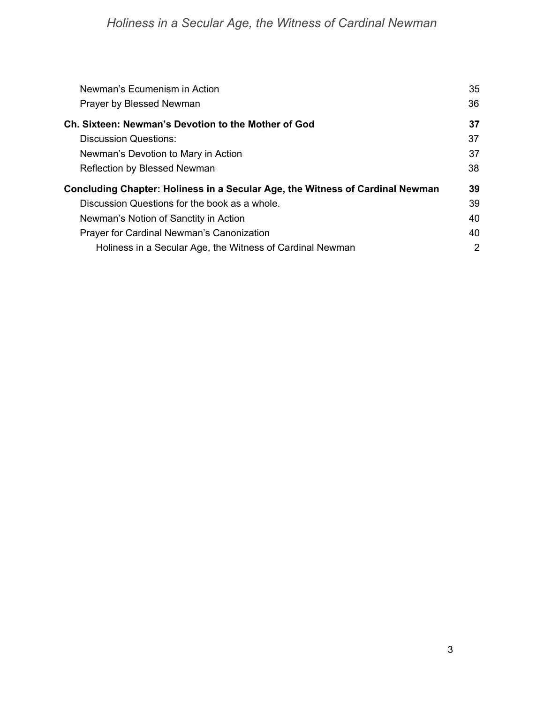<span id="page-2-0"></span>

| Newman's Ecumenism in Action                                                  | 35 |
|-------------------------------------------------------------------------------|----|
| Prayer by Blessed Newman                                                      | 36 |
| Ch. Sixteen: Newman's Devotion to the Mother of God                           | 37 |
| <b>Discussion Questions:</b>                                                  | 37 |
| Newman's Devotion to Mary in Action                                           | 37 |
| Reflection by Blessed Newman                                                  | 38 |
| Concluding Chapter: Holiness in a Secular Age, the Witness of Cardinal Newman | 39 |
| Discussion Questions for the book as a whole.                                 | 39 |
| Newman's Notion of Sanctity in Action                                         | 40 |
| Prayer for Cardinal Newman's Canonization                                     | 40 |
| Holiness in a Secular Age, the Witness of Cardinal Newman                     | 2  |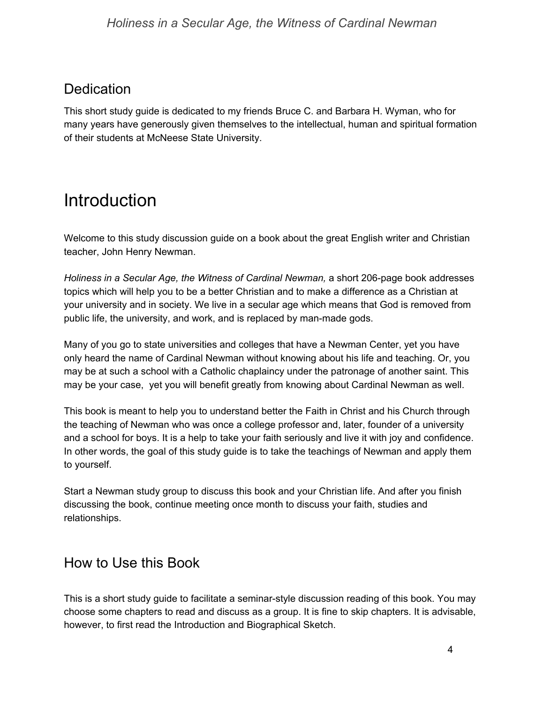### **Dedication**

This short study guide is dedicated to my friends Bruce C. and Barbara H. Wyman, who for many years have generously given themselves to the intellectual, human and spiritual formation of their students at McNeese State University.

### <span id="page-3-0"></span>**Introduction**

Welcome to this study discussion guide on a book about the great English writer and Christian teacher, John Henry Newman.

*Holiness in a Secular Age, the Witness of Cardinal Newman,* a short 206-page book addresses topics which will help you to be a better Christian and to make a difference as a Christian at your university and in society. We live in a secular age which means that God is removed from public life, the university, and work, and is replaced by man-made gods.

Many of you go to state universities and colleges that have a Newman Center, yet you have only heard the name of Cardinal Newman without knowing about his life and teaching. Or, you may be at such a school with a Catholic chaplaincy under the patronage of another saint. This may be your case, yet you will benefit greatly from knowing about Cardinal Newman as well.

This book is meant to help you to understand better the Faith in Christ and his Church through the teaching of Newman who was once a college professor and, later, founder of a university and a school for boys. It is a help to take your faith seriously and live it with joy and confidence. In other words, the goal of this study guide is to take the teachings of Newman and apply them to yourself.

Start a Newman study group to discuss this book and your Christian life. And after you finish discussing the book, continue meeting once month to discuss your faith, studies and relationships.

### <span id="page-3-1"></span>How to Use this Book

This is a short study guide to facilitate a seminar-style discussion reading of this book. You may choose some chapters to read and discuss as a group. It is fine to skip chapters. It is advisable, however, to first read the Introduction and Biographical Sketch.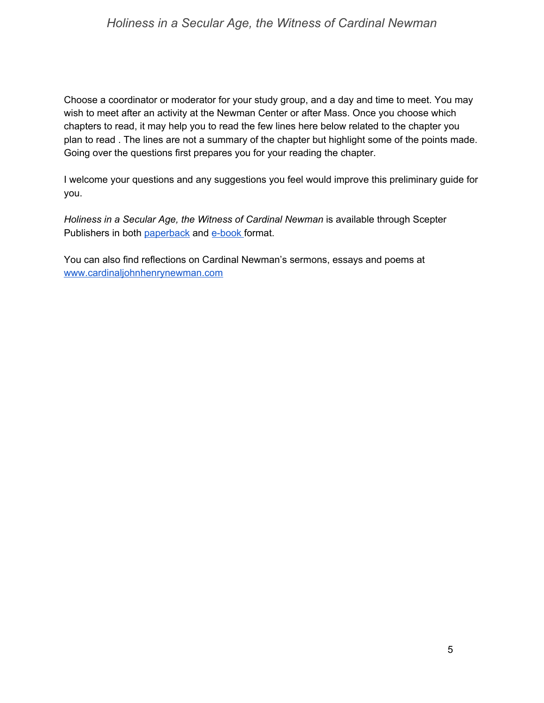#### *Holiness in a Secular Age, the Witness of Cardinal Newman*

Choose a coordinator or moderator for your study group, and a day and time to meet. You may wish to meet after an activity at the Newman Center or after Mass. Once you choose which chapters to read, it may help you to read the few lines here below related to the chapter you plan to read . The lines are not a summary of the chapter but highlight some of the points made. Going over the questions first prepares you for your reading the chapter.

I welcome your questions and any suggestions you feel would improve this preliminary guide for you.

*Holiness in a Secular Age, the Witness of Cardinal Newman* is available through Scepter Publishers in both [paperback](https://scepterpublishers.org/collections/new-releases) and [e-book](https://scepterpublishers.org/collections/ebooks) format.

You can also find reflections on Cardinal Newman's sermons, essays and poems at [www.cardinaljohnhenrynewman.com](http://www.cardinaljohnhenrynewman.com/)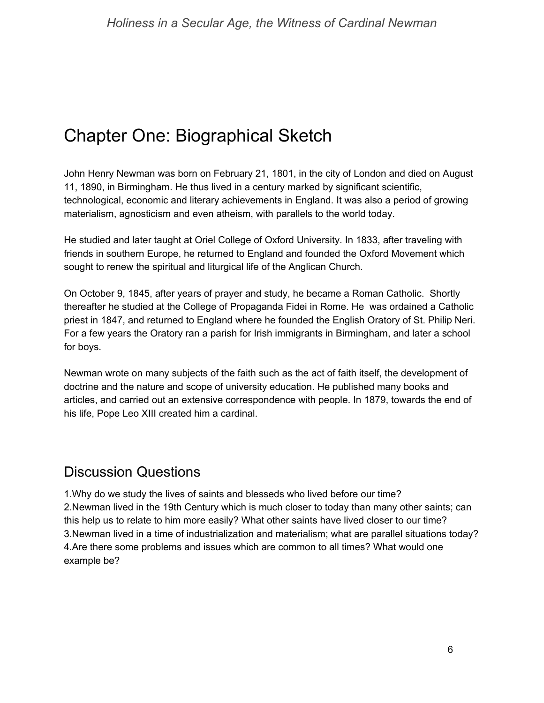## <span id="page-5-0"></span>Chapter One: Biographical Sketch

John Henry Newman was born on February 21, 1801, in the city of London and died on August 11, 1890, in Birmingham. He thus lived in a century marked by significant scientific, technological, economic and literary achievements in England. It was also a period of growing materialism, agnosticism and even atheism, with parallels to the world today.

He studied and later taught at Oriel College of Oxford University. In 1833, after traveling with friends in southern Europe, he returned to England and founded the Oxford Movement which sought to renew the spiritual and liturgical life of the Anglican Church.

On October 9, 1845, after years of prayer and study, he became a Roman Catholic. Shortly thereafter he studied at the College of Propaganda Fidei in Rome. He was ordained a Catholic priest in 1847, and returned to England where he founded the English Oratory of St. Philip Neri. For a few years the Oratory ran a parish for Irish immigrants in Birmingham, and later a school for boys.

Newman wrote on many subjects of the faith such as the act of faith itself, the development of doctrine and the nature and scope of university education. He published many books and articles, and carried out an extensive correspondence with people. In 1879, towards the end of his life, Pope Leo XIII created him a cardinal.

#### <span id="page-5-1"></span>Discussion Questions

1.Why do we study the lives of saints and blesseds who lived before our time? 2.Newman lived in the 19th Century which is much closer to today than many other saints; can this help us to relate to him more easily? What other saints have lived closer to our time? 3.Newman lived in a time of industrialization and materialism; what are parallel situations today? 4.Are there some problems and issues which are common to all times? What would one example be?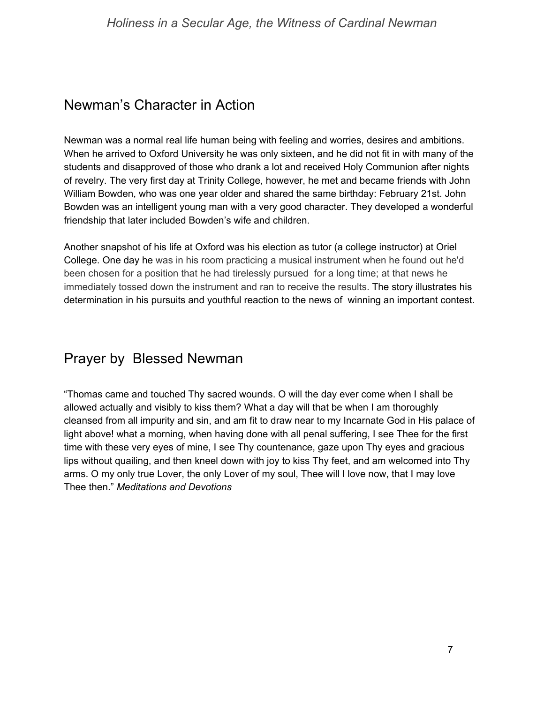#### <span id="page-6-0"></span>Newman's Character in Action

Newman was a normal real life human being with feeling and worries, desires and ambitions. When he arrived to Oxford University he was only sixteen, and he did not fit in with many of the students and disapproved of those who drank a lot and received Holy Communion after nights of revelry. The very first day at Trinity College, however, he met and became friends with John William Bowden, who was one year older and shared the same birthday: February 21st. John Bowden was an intelligent young man with a very good character. They developed a wonderful friendship that later included Bowden's wife and children.

Another snapshot of his life at Oxford was his election as tutor (a college instructor) at Oriel College. One day he was in his room practicing a musical instrument when he found out he'd been chosen for a position that he had tirelessly pursued for a long time; at that news he immediately tossed down the instrument and ran to receive the results. The story illustrates his determination in his pursuits and youthful reaction to the news of winning an important contest.

### <span id="page-6-1"></span>Prayer by Blessed Newman

"Thomas came and touched Thy sacred wounds. O will the day ever come when I shall be allowed actually and visibly to kiss them? What a day will that be when I am thoroughly cleansed from all impurity and sin, and am fit to draw near to my Incarnate God in His palace of light above! what a morning, when having done with all penal suffering, I see Thee for the first time with these very eyes of mine, I see Thy countenance, gaze upon Thy eyes and gracious lips without quailing, and then kneel down with joy to kiss Thy feet, and am welcomed into Thy arms. O my only true Lover, the only Lover of my soul, Thee will I love now, that I may love Thee then." *Meditations and Devotions*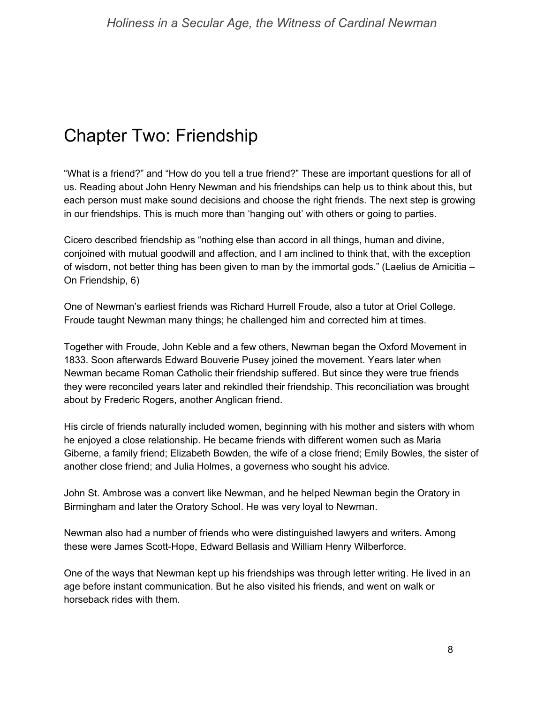## <span id="page-7-0"></span>Chapter Two: Friendship

"What is a friend?" and "How do you tell a true friend?" These are important questions for all of us. Reading about John Henry Newman and his friendships can help us to think about this, but each person must make sound decisions and choose the right friends. The next step is growing in our friendships. This is much more than 'hanging out' with others or going to parties.

Cicero described friendship as "nothing else than accord in all things, human and divine, conjoined with mutual goodwill and affection, and I am inclined to think that, with the exception of wisdom, not better thing has been given to man by the immortal gods." (Laelius de Amicitia – On Friendship, 6)

One of Newman's earliest friends was Richard Hurrell Froude, also a tutor at Oriel College. Froude taught Newman many things; he challenged him and corrected him at times.

Together with Froude, John Keble and a few others, Newman began the Oxford Movement in 1833. Soon afterwards Edward Bouverie Pusey joined the movement. Years later when Newman became Roman Catholic their friendship suffered. But since they were true friends they were reconciled years later and rekindled their friendship. This reconciliation was brought about by Frederic Rogers, another Anglican friend.

His circle of friends naturally included women, beginning with his mother and sisters with whom he enjoyed a close relationship. He became friends with different women such as Maria Giberne, a family friend; Elizabeth Bowden, the wife of a close friend; Emily Bowles, the sister of another close friend; and Julia Holmes, a governess who sought his advice.

John St. Ambrose was a convert like Newman, and he helped Newman begin the Oratory in Birmingham and later the Oratory School. He was very loyal to Newman.

Newman also had a number of friends who were distinguished lawyers and writers. Among these were James Scott-Hope, Edward Bellasis and William Henry Wilberforce.

One of the ways that Newman kept up his friendships was through letter writing. He lived in an age before instant communication. But he also visited his friends, and went on walk or horseback rides with them.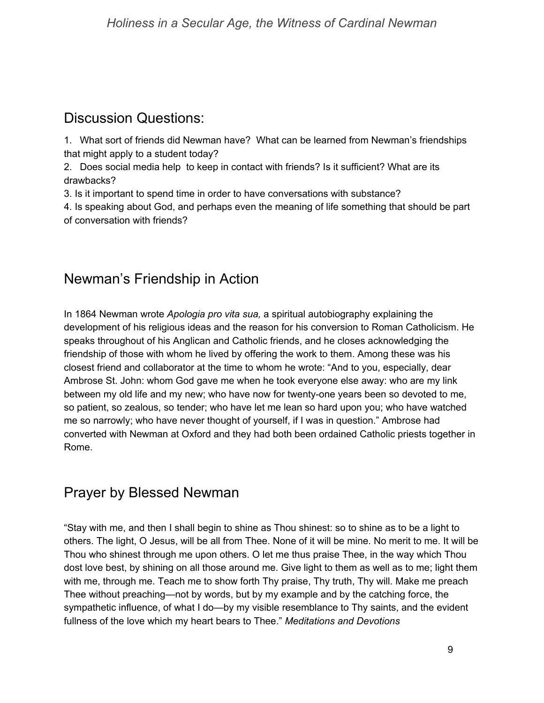#### <span id="page-8-0"></span>Discussion Questions:

1. What sort of friends did Newman have? What can be learned from Newman's friendships that might apply to a student today?

2. Does social media help to keep in contact with friends? Is it sufficient? What are its drawbacks?

3. Is it important to spend time in order to have conversations with substance?

4. Is speaking about God, and perhaps even the meaning of life something that should be part of conversation with friends?

### <span id="page-8-1"></span>Newman's Friendship in Action

In 1864 Newman wrote *Apologia pro vita sua,* a spiritual autobiography explaining the development of his religious ideas and the reason for his conversion to Roman Catholicism. He speaks throughout of his Anglican and Catholic friends, and he closes acknowledging the friendship of those with whom he lived by offering the work to them. Among these was his closest friend and collaborator at the time to whom he wrote: "And to you, especially, dear Ambrose St. John: whom God gave me when he took everyone else away: who are my link between my old life and my new; who have now for twenty-one years been so devoted to me, so patient, so zealous, so tender; who have let me lean so hard upon you; who have watched me so narrowly; who have never thought of yourself, if I was in question." Ambrose had converted with Newman at Oxford and they had both been ordained Catholic priests together in Rome.

### <span id="page-8-2"></span>Prayer by Blessed Newman

"Stay with me, and then I shall begin to shine as Thou shinest: so to shine as to be a light to others. The light, O Jesus, will be all from Thee. None of it will be mine. No merit to me. It will be Thou who shinest through me upon others. O let me thus praise Thee, in the way which Thou dost love best, by shining on all those around me. Give light to them as well as to me; light them with me, through me. Teach me to show forth Thy praise, Thy truth, Thy will. Make me preach Thee without preaching—not by words, but by my example and by the catching force, the sympathetic influence, of what I do—by my visible resemblance to Thy saints, and the evident fullness of the love which my heart bears to Thee." *Meditations and Devotions*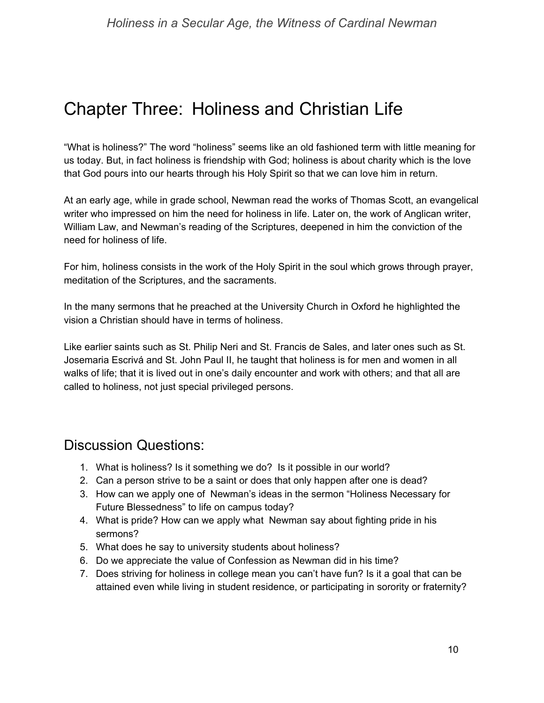## <span id="page-9-0"></span>Chapter Three: Holiness and Christian Life

"What is holiness?" The word "holiness" seems like an old fashioned term with little meaning for us today. But, in fact holiness is friendship with God; holiness is about charity which is the love that God pours into our hearts through his Holy Spirit so that we can love him in return.

At an early age, while in grade school, Newman read the works of Thomas Scott, an evangelical writer who impressed on him the need for holiness in life. Later on, the work of Anglican writer, William Law, and Newman's reading of the Scriptures, deepened in him the conviction of the need for holiness of life.

For him, holiness consists in the work of the Holy Spirit in the soul which grows through prayer, meditation of the Scriptures, and the sacraments.

In the many sermons that he preached at the University Church in Oxford he highlighted the vision a Christian should have in terms of holiness.

Like earlier saints such as St. Philip Neri and St. Francis de Sales, and later ones such as St. Josemaria Escrivá and St. John Paul II, he taught that holiness is for men and women in all walks of life; that it is lived out in one's daily encounter and work with others; and that all are called to holiness, not just special privileged persons.

- <span id="page-9-1"></span>1. What is holiness? Is it something we do? Is it possible in our world?
- 2. Can a person strive to be a saint or does that only happen after one is dead?
- 3. How can we apply one of Newman's ideas in the sermon "Holiness Necessary for Future Blessedness" to life on campus today?
- 4. What is pride? How can we apply what Newman say about fighting pride in his sermons?
- 5. What does he say to university students about holiness?
- 6. Do we appreciate the value of Confession as Newman did in his time?
- 7. Does striving for holiness in college mean you can't have fun? Is it a goal that can be attained even while living in student residence, or participating in sorority or fraternity?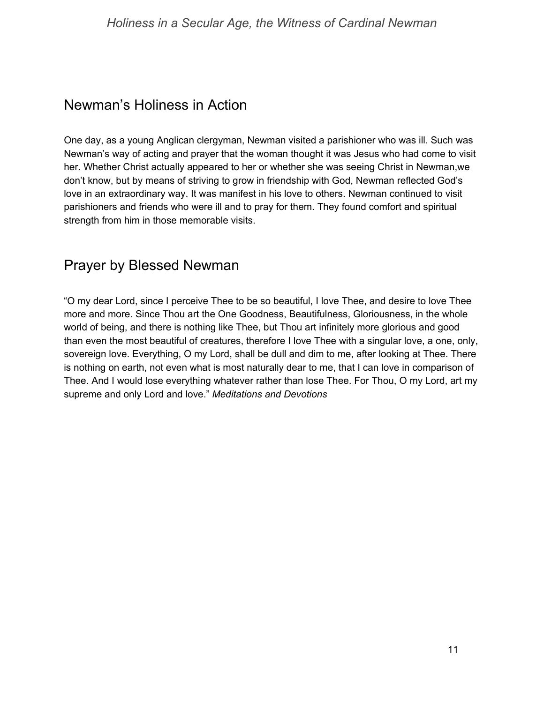#### <span id="page-10-0"></span>Newman's Holiness in Action

One day, as a young Anglican clergyman, Newman visited a parishioner who was ill. Such was Newman's way of acting and prayer that the woman thought it was Jesus who had come to visit her. Whether Christ actually appeared to her or whether she was seeing Christ in Newman,we don't know, but by means of striving to grow in friendship with God, Newman reflected God's love in an extraordinary way. It was manifest in his love to others. Newman continued to visit parishioners and friends who were ill and to pray for them. They found comfort and spiritual strength from him in those memorable visits.

#### <span id="page-10-1"></span>Prayer by Blessed Newman

"O my dear Lord, since I perceive Thee to be so beautiful, I love Thee, and desire to love Thee more and more. Since Thou art the One Goodness, Beautifulness, Gloriousness, in the whole world of being, and there is nothing like Thee, but Thou art infinitely more glorious and good than even the most beautiful of creatures, therefore I love Thee with a singular love, a one, only, sovereign love. Everything, O my Lord, shall be dull and dim to me, after looking at Thee. There is nothing on earth, not even what is most naturally dear to me, that I can love in comparison of Thee. And I would lose everything whatever rather than lose Thee. For Thou, O my Lord, art my supreme and only Lord and love." *Meditations and Devotions*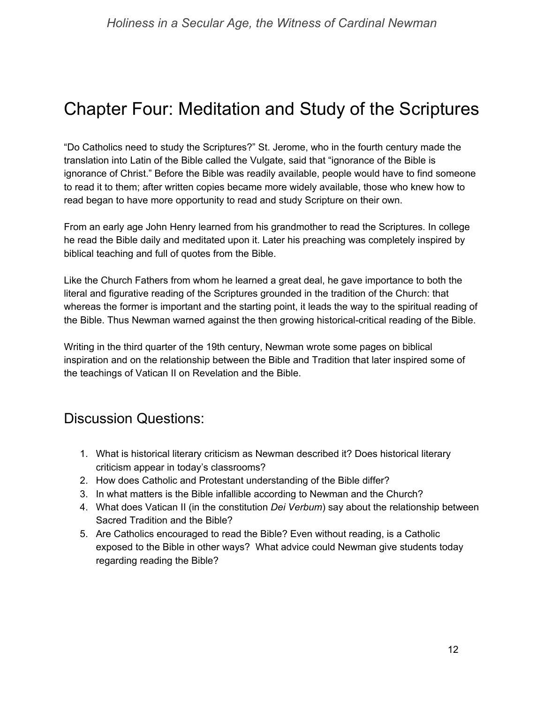## <span id="page-11-0"></span>Chapter Four: Meditation and Study of the Scriptures

"Do Catholics need to study the Scriptures?" St. Jerome, who in the fourth century made the translation into Latin of the Bible called the Vulgate, said that "ignorance of the Bible is ignorance of Christ." Before the Bible was readily available, people would have to find someone to read it to them; after written copies became more widely available, those who knew how to read began to have more opportunity to read and study Scripture on their own.

From an early age John Henry learned from his grandmother to read the Scriptures. In college he read the Bible daily and meditated upon it. Later his preaching was completely inspired by biblical teaching and full of quotes from the Bible.

Like the Church Fathers from whom he learned a great deal, he gave importance to both the literal and figurative reading of the Scriptures grounded in the tradition of the Church: that whereas the former is important and the starting point, it leads the way to the spiritual reading of the Bible. Thus Newman warned against the then growing historical-critical reading of the Bible.

<span id="page-11-1"></span>Writing in the third quarter of the 19th century, Newman wrote some pages on biblical inspiration and on the relationship between the Bible and Tradition that later inspired some of the teachings of Vatican II on Revelation and the Bible.

- 1. What is historical literary criticism as Newman described it? Does historical literary criticism appear in today's classrooms?
- 2. How does Catholic and Protestant understanding of the Bible differ?
- 3. In what matters is the Bible infallible according to Newman and the Church?
- 4. What does Vatican II (in the constitution *Dei Verbum*) say about the relationship between Sacred Tradition and the Bible?
- 5. Are Catholics encouraged to read the Bible? Even without reading, is a Catholic exposed to the Bible in other ways? What advice could Newman give students today regarding reading the Bible?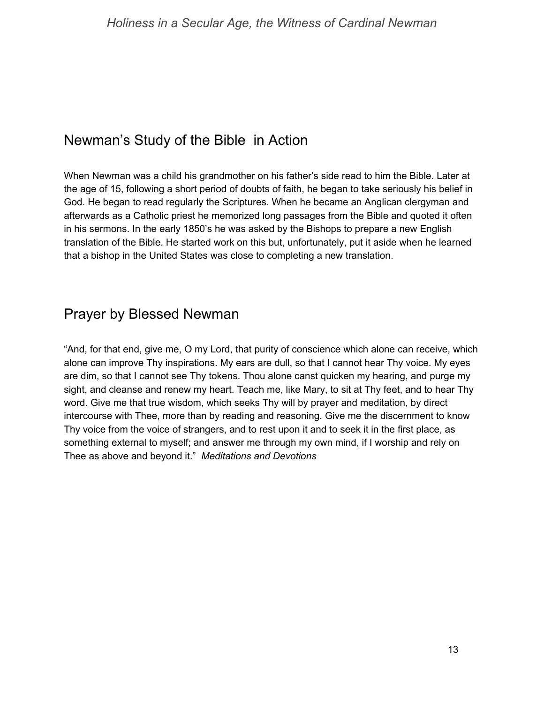### <span id="page-12-0"></span>Newman's Study of the Bible in Action

When Newman was a child his grandmother on his father's side read to him the Bible. Later at the age of 15, following a short period of doubts of faith, he began to take seriously his belief in God. He began to read regularly the Scriptures. When he became an Anglican clergyman and afterwards as a Catholic priest he memorized long passages from the Bible and quoted it often in his sermons. In the early 1850's he was asked by the Bishops to prepare a new English translation of the Bible. He started work on this but, unfortunately, put it aside when he learned that a bishop in the United States was close to completing a new translation.

#### <span id="page-12-1"></span>Prayer by Blessed Newman

"And, for that end, give me, O my Lord, that purity of conscience which alone can receive, which alone can improve Thy inspirations. My ears are dull, so that I cannot hear Thy voice. My eyes are dim, so that I cannot see Thy tokens. Thou alone canst quicken my hearing, and purge my sight, and cleanse and renew my heart. Teach me, like Mary, to sit at Thy feet, and to hear Thy word. Give me that true wisdom, which seeks Thy will by prayer and meditation, by direct intercourse with Thee, more than by reading and reasoning. Give me the discernment to know Thy voice from the voice of strangers, and to rest upon it and to seek it in the first place, as something external to myself; and answer me through my own mind, if I worship and rely on Thee as above and beyond it." *Meditations and Devotions*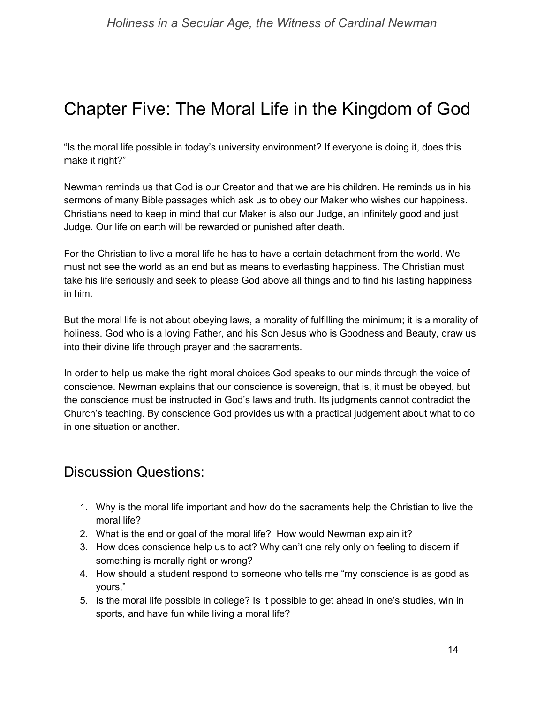## <span id="page-13-0"></span>Chapter Five: The Moral Life in the Kingdom of God

"Is the moral life possible in today's university environment? If everyone is doing it, does this make it right?"

Newman reminds us that God is our Creator and that we are his children. He reminds us in his sermons of many Bible passages which ask us to obey our Maker who wishes our happiness. Christians need to keep in mind that our Maker is also our Judge, an infinitely good and just Judge. Our life on earth will be rewarded or punished after death.

For the Christian to live a moral life he has to have a certain detachment from the world. We must not see the world as an end but as means to everlasting happiness. The Christian must take his life seriously and seek to please God above all things and to find his lasting happiness in him.

But the moral life is not about obeying laws, a morality of fulfilling the minimum; it is a morality of holiness. God who is a loving Father, and his Son Jesus who is Goodness and Beauty, draw us into their divine life through prayer and the sacraments.

In order to help us make the right moral choices God speaks to our minds through the voice of conscience. Newman explains that our conscience is sovereign, that is, it must be obeyed, but the conscience must be instructed in God's laws and truth. Its judgments cannot contradict the Church's teaching. By conscience God provides us with a practical judgement about what to do in one situation or another.

- <span id="page-13-1"></span>1. Why is the moral life important and how do the sacraments help the Christian to live the moral life?
- 2. What is the end or goal of the moral life? How would Newman explain it?
- 3. How does conscience help us to act? Why can't one rely only on feeling to discern if something is morally right or wrong?
- 4. How should a student respond to someone who tells me "my conscience is as good as yours,"
- 5. Is the moral life possible in college? Is it possible to get ahead in one's studies, win in sports, and have fun while living a moral life?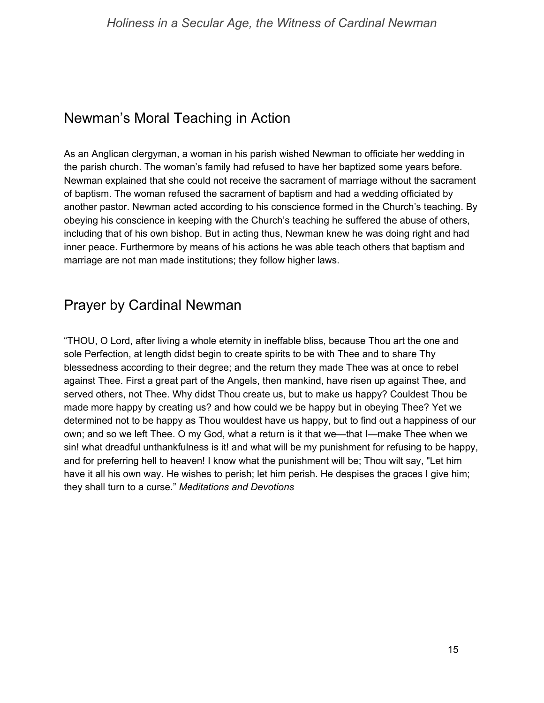### <span id="page-14-0"></span>Newman's Moral Teaching in Action

As an Anglican clergyman, a woman in his parish wished Newman to officiate her wedding in the parish church. The woman's family had refused to have her baptized some years before. Newman explained that she could not receive the sacrament of marriage without the sacrament of baptism. The woman refused the sacrament of baptism and had a wedding officiated by another pastor. Newman acted according to his conscience formed in the Church's teaching. By obeying his conscience in keeping with the Church's teaching he suffered the abuse of others, including that of his own bishop. But in acting thus, Newman knew he was doing right and had inner peace. Furthermore by means of his actions he was able teach others that baptism and marriage are not man made institutions; they follow higher laws.

#### <span id="page-14-1"></span>Prayer by Cardinal Newman

"THOU, O Lord, after living a whole eternity in ineffable bliss, because Thou art the one and sole Perfection, at length didst begin to create spirits to be with Thee and to share Thy blessedness according to their degree; and the return they made Thee was at once to rebel against Thee. First a great part of the Angels, then mankind, have risen up against Thee, and served others, not Thee. Why didst Thou create us, but to make us happy? Couldest Thou be made more happy by creating us? and how could we be happy but in obeying Thee? Yet we determined not to be happy as Thou wouldest have us happy, but to find out a happiness of our own; and so we left Thee. O my God, what a return is it that we—that I—make Thee when we sin! what dreadful unthankfulness is it! and what will be my punishment for refusing to be happy, and for preferring hell to heaven! I know what the punishment will be; Thou wilt say, "Let him have it all his own way. He wishes to perish; let him perish. He despises the graces I give him; they shall turn to a curse." *Meditations and Devotions*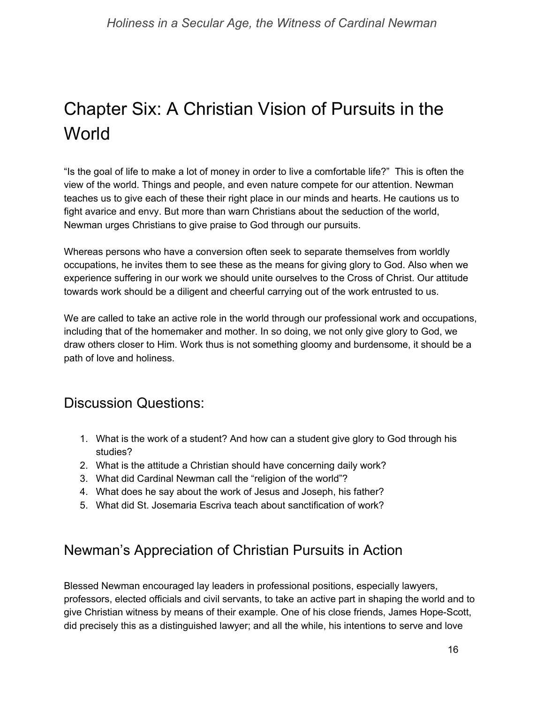# <span id="page-15-0"></span>Chapter Six: A Christian Vision of Pursuits in the **World**

"Is the goal of life to make a lot of money in order to live a comfortable life?" This is often the view of the world. Things and people, and even nature compete for our attention. Newman teaches us to give each of these their right place in our minds and hearts. He cautions us to fight avarice and envy. But more than warn Christians about the seduction of the world, Newman urges Christians to give praise to God through our pursuits.

Whereas persons who have a conversion often seek to separate themselves from worldly occupations, he invites them to see these as the means for giving glory to God. Also when we experience suffering in our work we should unite ourselves to the Cross of Christ. Our attitude towards work should be a diligent and cheerful carrying out of the work entrusted to us.

We are called to take an active role in the world through our professional work and occupations, including that of the homemaker and mother. In so doing, we not only give glory to God, we draw others closer to Him. Work thus is not something gloomy and burdensome, it should be a path of love and holiness.

### <span id="page-15-1"></span>Discussion Questions:

- 1. What is the work of a student? And how can a student give glory to God through his studies?
- 2. What is the attitude a Christian should have concerning daily work?
- 3. What did Cardinal Newman call the "religion of the world"?
- 4. What does he say about the work of Jesus and Joseph, his father?
- 5. What did St. Josemaria Escriva teach about sanctification of work?

#### <span id="page-15-2"></span>Newman's Appreciation of Christian Pursuits in Action

Blessed Newman encouraged lay leaders in professional positions, especially lawyers, professors, elected officials and civil servants, to take an active part in shaping the world and to give Christian witness by means of their example. One of his close friends, James Hope-Scott, did precisely this as a distinguished lawyer; and all the while, his intentions to serve and love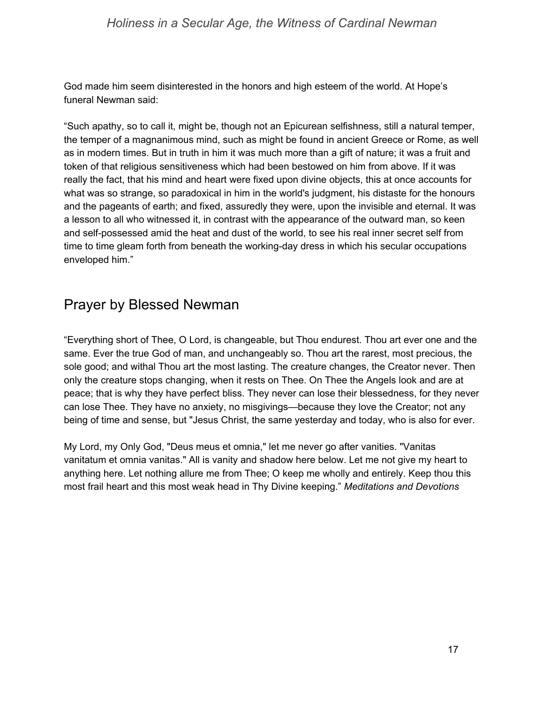#### *Holiness in a Secular Age, the Witness of Cardinal Newman*

God made him seem disinterested in the honors and high esteem of the world. At Hope's funeral Newman said:

"Such apathy, so to call it, might be, though not an Epicurean selfishness, still a natural temper, the temper of a magnanimous mind, such as might be found in ancient Greece or Rome, as well as in modern times. But in truth in him it was much more than a gift of nature; it was a fruit and token of that religious sensitiveness which had been bestowed on him from above. If it was really the fact, that his mind and heart were fixed upon divine objects, this at once accounts for what was so strange, so paradoxical in him in the world's judgment, his distaste for the honours and the pageants of earth; and fixed, assuredly they were, upon the invisible and eternal. It was a lesson to all who witnessed it, in contrast with the appearance of the outward man, so keen and self-possessed amid the heat and dust of the world, to see his real inner secret self from time to time gleam forth from beneath the working-day dress in which his secular occupations enveloped him."

#### <span id="page-16-0"></span>Prayer by Blessed Newman

"Everything short of Thee, O Lord, is changeable, but Thou endurest. Thou art ever one and the same. Ever the true God of man, and unchangeably so. Thou art the rarest, most precious, the sole good; and withal Thou art the most lasting. The creature changes, the Creator never. Then only the creature stops changing, when it rests on Thee. On Thee the Angels look and are at peace; that is why they have perfect bliss. They never can lose their blessedness, for they never can lose Thee. They have no anxiety, no misgivings—because they love the Creator; not any being of time and sense, but "Jesus Christ, the same yesterday and today, who is also for ever.

My Lord, my Only God, "Deus meus et omnia," let me never go after vanities. "Vanitas vanitatum et omnia vanitas." All is vanity and shadow here below. Let me not give my heart to anything here. Let nothing allure me from Thee; O keep me wholly and entirely. Keep thou this most frail heart and this most weak head in Thy Divine keeping." *Meditations and Devotions*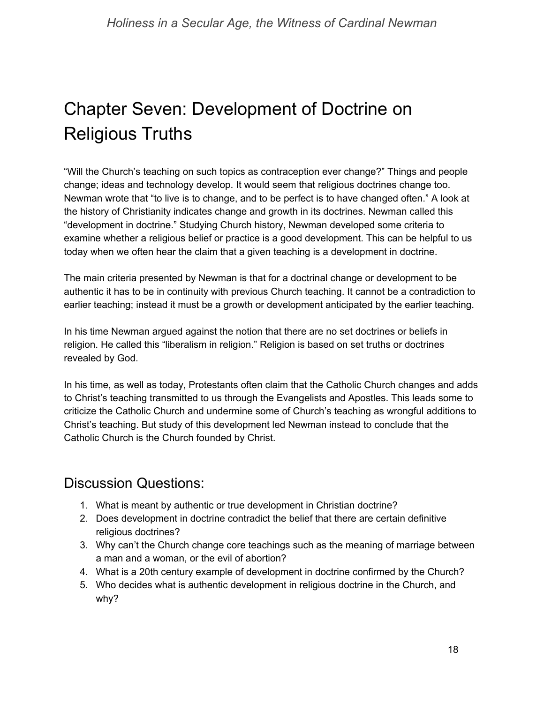# <span id="page-17-0"></span>Chapter Seven: Development of Doctrine on Religious Truths

"Will the Church's teaching on such topics as contraception ever change?" Things and people change; ideas and technology develop. It would seem that religious doctrines change too. Newman wrote that "to live is to change, and to be perfect is to have changed often." A look at the history of Christianity indicates change and growth in its doctrines. Newman called this "development in doctrine." Studying Church history, Newman developed some criteria to examine whether a religious belief or practice is a good development. This can be helpful to us today when we often hear the claim that a given teaching is a development in doctrine.

The main criteria presented by Newman is that for a doctrinal change or development to be authentic it has to be in continuity with previous Church teaching. It cannot be a contradiction to earlier teaching; instead it must be a growth or development anticipated by the earlier teaching.

In his time Newman argued against the notion that there are no set doctrines or beliefs in religion. He called this "liberalism in religion." Religion is based on set truths or doctrines revealed by God.

In his time, as well as today, Protestants often claim that the Catholic Church changes and adds to Christ's teaching transmitted to us through the Evangelists and Apostles. This leads some to criticize the Catholic Church and undermine some of Church's teaching as wrongful additions to Christ's teaching. But study of this development led Newman instead to conclude that the Catholic Church is the Church founded by Christ.

- <span id="page-17-1"></span>1. What is meant by authentic or true development in Christian doctrine?
- 2. Does development in doctrine contradict the belief that there are certain definitive religious doctrines?
- 3. Why can't the Church change core teachings such as the meaning of marriage between a man and a woman, or the evil of abortion?
- 4. What is a 20th century example of development in doctrine confirmed by the Church?
- 5. Who decides what is authentic development in religious doctrine in the Church, and why?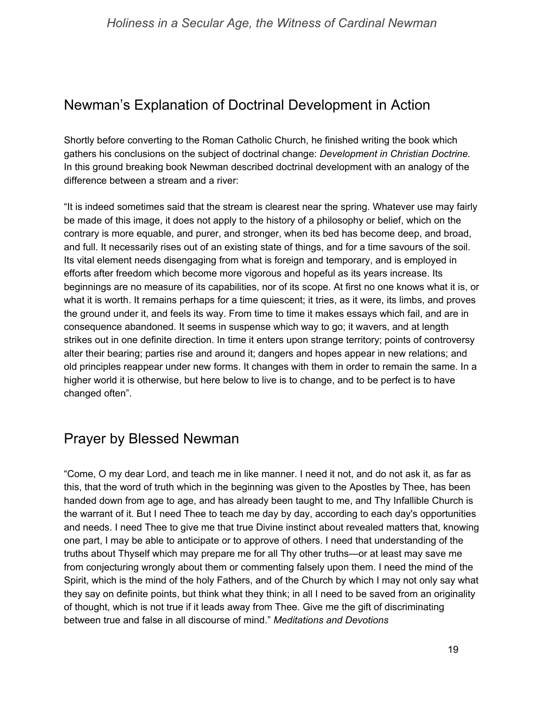### <span id="page-18-0"></span>Newman's Explanation of Doctrinal Development in Action

Shortly before converting to the Roman Catholic Church, he finished writing the book which gathers his conclusions on the subject of doctrinal change: *Development in Christian Doctrine.* In this ground breaking book Newman described doctrinal development with an analogy of the difference between a stream and a river:

"It is indeed sometimes said that the stream is clearest near the spring. Whatever use may fairly be made of this image, it does not apply to the history of a philosophy or belief, which on the contrary is more equable, and purer, and stronger, when its bed has become deep, and broad, and full. It necessarily rises out of an existing state of things, and for a time savours of the soil. Its vital element needs disengaging from what is foreign and temporary, and is employed in efforts after freedom which become more vigorous and hopeful as its years increase. Its beginnings are no measure of its capabilities, nor of its scope. At first no one knows what it is, or what it is worth. It remains perhaps for a time quiescent; it tries, as it were, its limbs, and proves the ground under it, and feels its way. From time to time it makes essays which fail, and are in consequence abandoned. It seems in suspense which way to go; it wavers, and at length strikes out in one definite direction. In time it enters upon strange territory; points of controversy alter their bearing; parties rise and around it; dangers and hopes appear in new relations; and old principles reappear under new forms. It changes with them in order to remain the same. In a higher world it is otherwise, but here below to live is to change, and to be perfect is to have changed often".

#### <span id="page-18-1"></span>Prayer by Blessed Newman

"Come, O my dear Lord, and teach me in like manner. I need it not, and do not ask it, as far as this, that the word of truth which in the beginning was given to the Apostles by Thee, has been handed down from age to age, and has already been taught to me, and Thy Infallible Church is the warrant of it. But I need Thee to teach me day by day, according to each day's opportunities and needs. I need Thee to give me that true Divine instinct about revealed matters that, knowing one part, I may be able to anticipate or to approve of others. I need that understanding of the truths about Thyself which may prepare me for all Thy other truths—or at least may save me from conjecturing wrongly about them or commenting falsely upon them. I need the mind of the Spirit, which is the mind of the holy Fathers, and of the Church by which I may not only say what they say on definite points, but think what they think; in all I need to be saved from an originality of thought, which is not true if it leads away from Thee. Give me the gift of discriminating between true and false in all discourse of mind." *Meditations and Devotions*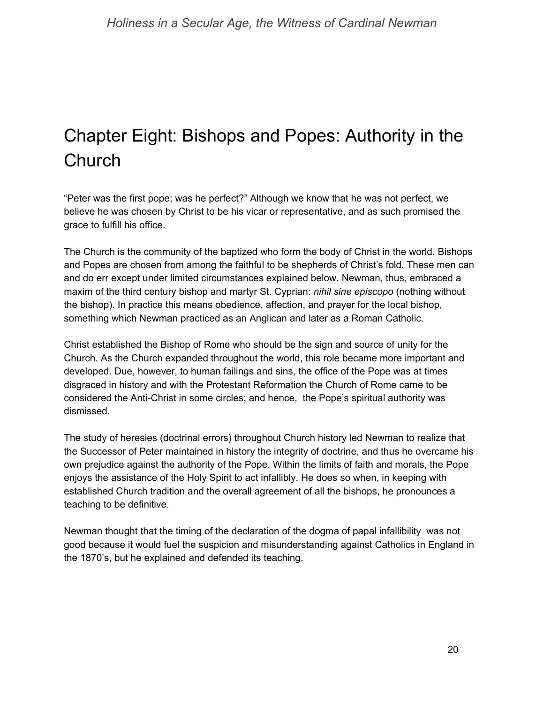## <span id="page-19-0"></span>Chapter Eight: Bishops and Popes: Authority in the **Church**

"Peter was the first pope; was he perfect?" Although we know that he was not perfect, we believe he was chosen by Christ to be his vicar or representative, and as such promised the grace to fulfill his office.

The Church is the community of the baptized who form the body of Christ in the world. Bishops and Popes are chosen from among the faithful to be shepherds of Christ's fold. These men can and do err except under limited circumstances explained below. Newman, thus, embraced a maxim of the third century bishop and martyr St. Cyprian: *nihil sine episcopo* (nothing without the bishop). In practice this means obedience, affection, and prayer for the local bishop, something which Newman practiced as an Anglican and later as a Roman Catholic.

Christ established the Bishop of Rome who should be the sign and source of unity for the Church. As the Church expanded throughout the world, this role became more important and developed. Due, however, to human failings and sins, the office of the Pope was at times disgraced in history and with the Protestant Reformation the Church of Rome came to be considered the Anti-Christ in some circles; and hence, the Pope's spiritual authority was dismissed.

The study of heresies (doctrinal errors) throughout Church history led Newman to realize that the Successor of Peter maintained in history the integrity of doctrine, and thus he overcame his own prejudice against the authority of the Pope. Within the limits of faith and morals, the Pope enjoys the assistance of the Holy Spirit to act infallibly. He does so when, in keeping with established Church tradition and the overall agreement of all the bishops, he pronounces a teaching to be definitive.

Newman thought that the timing of the declaration of the dogma of papal infallibility was not good because it would fuel the suspicion and misunderstanding against Catholics in England in the 1870's, but he explained and defended its teaching.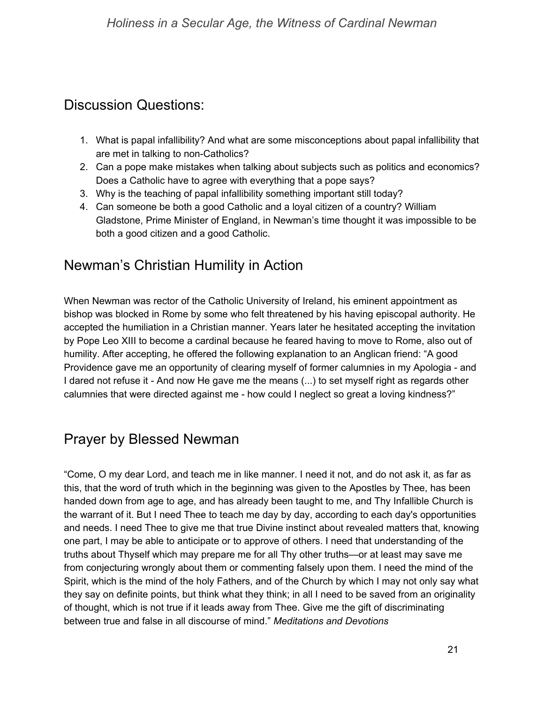#### <span id="page-20-0"></span>Discussion Questions:

- 1. What is papal infallibility? And what are some misconceptions about papal infallibility that are met in talking to non-Catholics?
- 2. Can a pope make mistakes when talking about subjects such as politics and economics? Does a Catholic have to agree with everything that a pope says?
- 3. Why is the teaching of papal infallibility something important still today?
- 4. Can someone be both a good Catholic and a loyal citizen of a country? William Gladstone, Prime Minister of England, in Newman's time thought it was impossible to be both a good citizen and a good Catholic.

### <span id="page-20-1"></span>Newman's Christian Humility in Action

When Newman was rector of the Catholic University of Ireland, his eminent appointment as bishop was blocked in Rome by some who felt threatened by his having episcopal authority. He accepted the humiliation in a Christian manner. Years later he hesitated accepting the invitation by Pope Leo XIII to become a cardinal because he feared having to move to Rome, also out of humility. After accepting, he offered the following explanation to an Anglican friend: "A good Providence gave me an opportunity of clearing myself of former calumnies in my Apologia - and I dared not refuse it - And now He gave me the means (...) to set myself right as regards other calumnies that were directed against me - how could I neglect so great a loving kindness?"

### <span id="page-20-2"></span>Prayer by Blessed Newman

"Come, O my dear Lord, and teach me in like manner. I need it not, and do not ask it, as far as this, that the word of truth which in the beginning was given to the Apostles by Thee, has been handed down from age to age, and has already been taught to me, and Thy Infallible Church is the warrant of it. But I need Thee to teach me day by day, according to each day's opportunities and needs. I need Thee to give me that true Divine instinct about revealed matters that, knowing one part, I may be able to anticipate or to approve of others. I need that understanding of the truths about Thyself which may prepare me for all Thy other truths—or at least may save me from conjecturing wrongly about them or commenting falsely upon them. I need the mind of the Spirit, which is the mind of the holy Fathers, and of the Church by which I may not only say what they say on definite points, but think what they think; in all I need to be saved from an originality of thought, which is not true if it leads away from Thee. Give me the gift of discriminating between true and false in all discourse of mind." *Meditations and Devotions*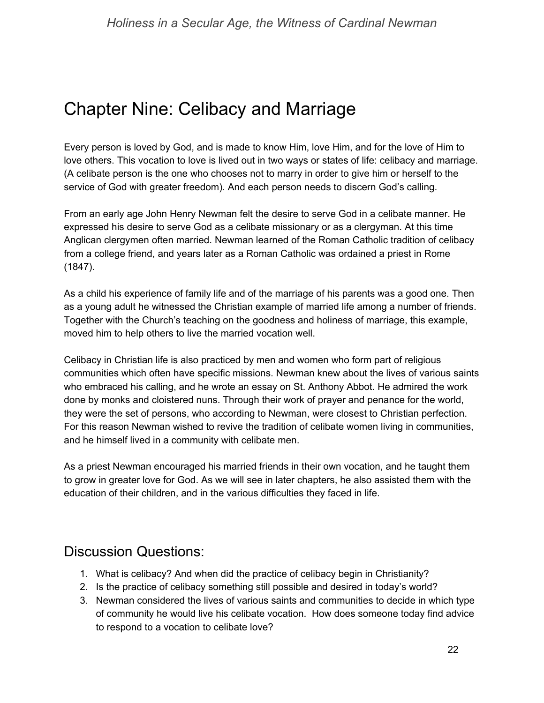### <span id="page-21-0"></span>Chapter Nine: Celibacy and Marriage

Every person is loved by God, and is made to know Him, love Him, and for the love of Him to love others. This vocation to love is lived out in two ways or states of life: celibacy and marriage. (A celibate person is the one who chooses not to marry in order to give him or herself to the service of God with greater freedom). And each person needs to discern God's calling.

From an early age John Henry Newman felt the desire to serve God in a celibate manner. He expressed his desire to serve God as a celibate missionary or as a clergyman. At this time Anglican clergymen often married. Newman learned of the Roman Catholic tradition of celibacy from a college friend, and years later as a Roman Catholic was ordained a priest in Rome (1847).

As a child his experience of family life and of the marriage of his parents was a good one. Then as a young adult he witnessed the Christian example of married life among a number of friends. Together with the Church's teaching on the goodness and holiness of marriage, this example, moved him to help others to live the married vocation well.

Celibacy in Christian life is also practiced by men and women who form part of religious communities which often have specific missions. Newman knew about the lives of various saints who embraced his calling, and he wrote an essay on St. Anthony Abbot. He admired the work done by monks and cloistered nuns. Through their work of prayer and penance for the world, they were the set of persons, who according to Newman, were closest to Christian perfection. For this reason Newman wished to revive the tradition of celibate women living in communities, and he himself lived in a community with celibate men.

As a priest Newman encouraged his married friends in their own vocation, and he taught them to grow in greater love for God. As we will see in later chapters, he also assisted them with the education of their children, and in the various difficulties they faced in life.

- <span id="page-21-1"></span>1. What is celibacy? And when did the practice of celibacy begin in Christianity?
- 2. Is the practice of celibacy something still possible and desired in today's world?
- 3. Newman considered the lives of various saints and communities to decide in which type of community he would live his celibate vocation. How does someone today find advice to respond to a vocation to celibate love?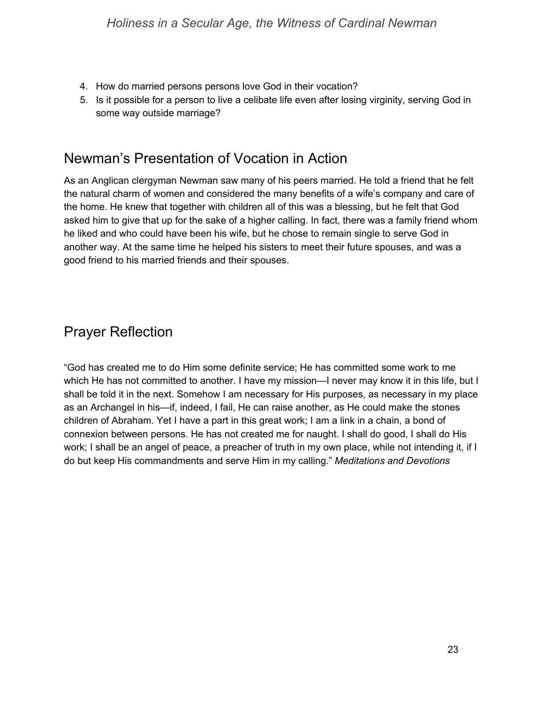- 4. How do married persons persons love God in their vocation?
- 5. Is it possible for a person to live a celibate life even after losing virginity, serving God in some way outside marriage?

#### <span id="page-22-0"></span>Newman's Presentation of Vocation in Action

As an Anglican clergyman Newman saw many of his peers married. He told a friend that he felt the natural charm of women and considered the many benefits of a wife's company and care of the home. He knew that together with children all of this was a blessing, but he felt that God asked him to give that up for the sake of a higher calling. In fact, there was a family friend whom he liked and who could have been his wife, but he chose to remain single to serve God in another way. At the same time he helped his sisters to meet their future spouses, and was a good friend to his married friends and their spouses.

#### <span id="page-22-1"></span>Prayer Reflection

"God has created me to do Him some definite service; He has committed some work to me which He has not committed to another. I have my mission—I never may know it in this life, but I shall be told it in the next. Somehow I am necessary for His purposes, as necessary in my place as an Archangel in his—if, indeed, I fail, He can raise another, as He could make the stones children of Abraham. Yet I have a part in this great work; I am a link in a chain, a bond of connexion between persons. He has not created me for naught. I shall do good, I shall do His work; I shall be an angel of peace, a preacher of truth in my own place, while not intending it, if I do but keep His commandments and serve Him in my calling." *Meditations and Devotions*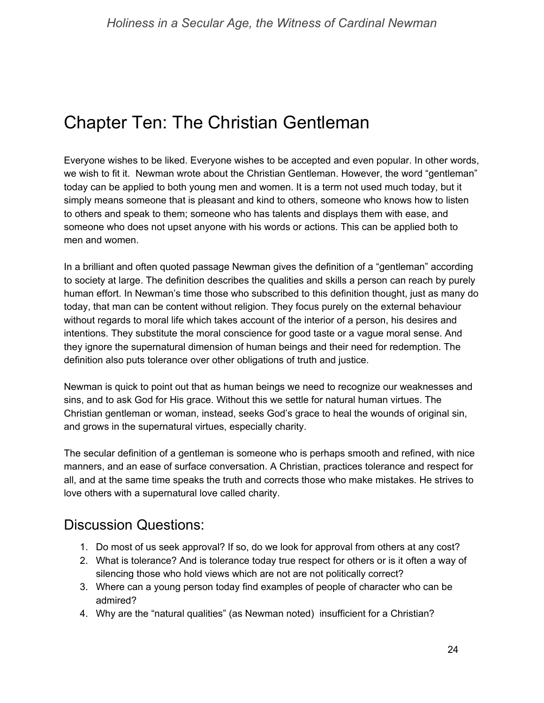## <span id="page-23-0"></span>Chapter Ten: The Christian Gentleman

Everyone wishes to be liked. Everyone wishes to be accepted and even popular. In other words, we wish to fit it. Newman wrote about the Christian Gentleman. However, the word "gentleman" today can be applied to both young men and women. It is a term not used much today, but it simply means someone that is pleasant and kind to others, someone who knows how to listen to others and speak to them; someone who has talents and displays them with ease, and someone who does not upset anyone with his words or actions. This can be applied both to men and women.

In a brilliant and often quoted passage Newman gives the definition of a "gentleman" according to society at large. The definition describes the qualities and skills a person can reach by purely human effort. In Newman's time those who subscribed to this definition thought, just as many do today, that man can be content without religion. They focus purely on the external behaviour without regards to moral life which takes account of the interior of a person, his desires and intentions. They substitute the moral conscience for good taste or a vague moral sense. And they ignore the supernatural dimension of human beings and their need for redemption. The definition also puts tolerance over other obligations of truth and justice.

Newman is quick to point out that as human beings we need to recognize our weaknesses and sins, and to ask God for His grace. Without this we settle for natural human virtues. The Christian gentleman or woman, instead, seeks God's grace to heal the wounds of original sin, and grows in the supernatural virtues, especially charity.

The secular definition of a gentleman is someone who is perhaps smooth and refined, with nice manners, and an ease of surface conversation. A Christian, practices tolerance and respect for all, and at the same time speaks the truth and corrects those who make mistakes. He strives to love others with a supernatural love called charity.

- <span id="page-23-1"></span>1. Do most of us seek approval? If so, do we look for approval from others at any cost?
- 2. What is tolerance? And is tolerance today true respect for others or is it often a way of silencing those who hold views which are not are not politically correct?
- 3. Where can a young person today find examples of people of character who can be admired?
- 4. Why are the "natural qualities" (as Newman noted) insufficient for a Christian?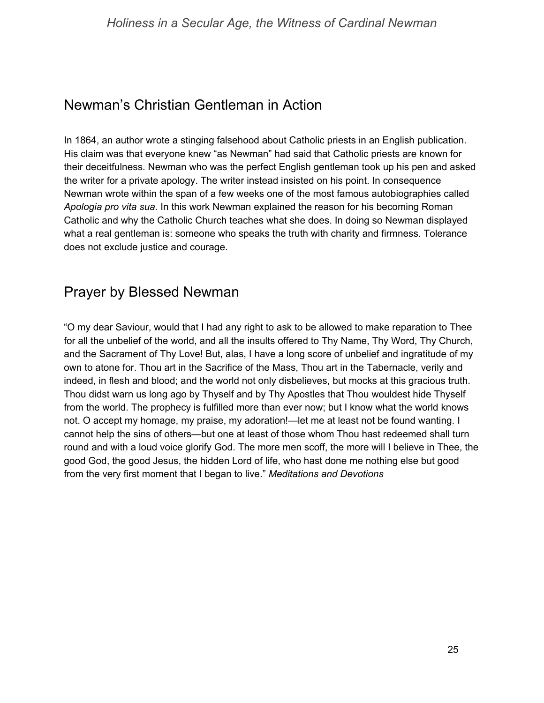### <span id="page-24-0"></span>Newman's Christian Gentleman in Action

In 1864, an author wrote a stinging falsehood about Catholic priests in an English publication. His claim was that everyone knew "as Newman" had said that Catholic priests are known for their deceitfulness. Newman who was the perfect English gentleman took up his pen and asked the writer for a private apology. The writer instead insisted on his point. In consequence Newman wrote within the span of a few weeks one of the most famous autobiographies called *Apologia pro vita sua.* In this work Newman explained the reason for his becoming Roman Catholic and why the Catholic Church teaches what she does. In doing so Newman displayed what a real gentleman is: someone who speaks the truth with charity and firmness. Tolerance does not exclude justice and courage.

#### <span id="page-24-1"></span>Prayer by Blessed Newman

"O my dear Saviour, would that I had any right to ask to be allowed to make reparation to Thee for all the unbelief of the world, and all the insults offered to Thy Name, Thy Word, Thy Church, and the Sacrament of Thy Love! But, alas, I have a long score of unbelief and ingratitude of my own to atone for. Thou art in the Sacrifice of the Mass, Thou art in the Tabernacle, verily and indeed, in flesh and blood; and the world not only disbelieves, but mocks at this gracious truth. Thou didst warn us long ago by Thyself and by Thy Apostles that Thou wouldest hide Thyself from the world. The prophecy is fulfilled more than ever now; but I know what the world knows not. O accept my homage, my praise, my adoration!—let me at least not be found wanting. I cannot help the sins of others—but one at least of those whom Thou hast redeemed shall turn round and with a loud voice glorify God. The more men scoff, the more will I believe in Thee, the good God, the good Jesus, the hidden Lord of life, who hast done me nothing else but good from the very first moment that I began to live." *Meditations and Devotions*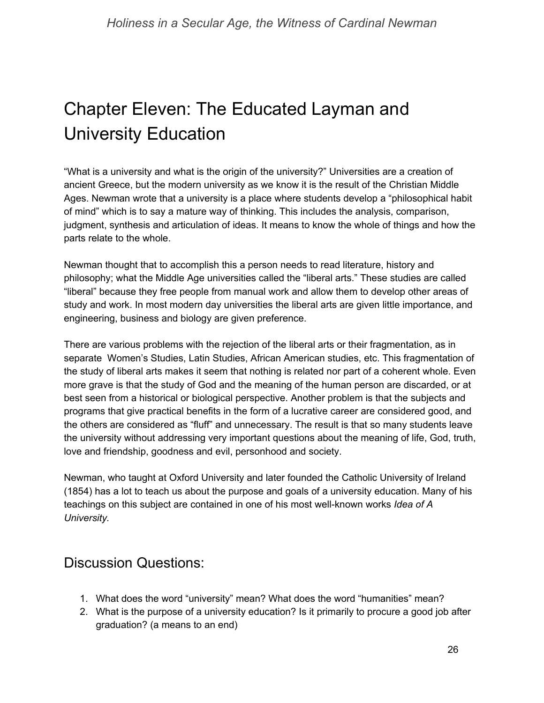# <span id="page-25-0"></span>Chapter Eleven: The Educated Layman and University Education

"What is a university and what is the origin of the university?" Universities are a creation of ancient Greece, but the modern university as we know it is the result of the Christian Middle Ages. Newman wrote that a university is a place where students develop a "philosophical habit of mind" which is to say a mature way of thinking. This includes the analysis, comparison, judgment, synthesis and articulation of ideas. It means to know the whole of things and how the parts relate to the whole.

Newman thought that to accomplish this a person needs to read literature, history and philosophy; what the Middle Age universities called the "liberal arts." These studies are called "liberal" because they free people from manual work and allow them to develop other areas of study and work. In most modern day universities the liberal arts are given little importance, and engineering, business and biology are given preference.

There are various problems with the rejection of the liberal arts or their fragmentation, as in separate Women's Studies, Latin Studies, African American studies, etc. This fragmentation of the study of liberal arts makes it seem that nothing is related nor part of a coherent whole. Even more grave is that the study of God and the meaning of the human person are discarded, or at best seen from a historical or biological perspective. Another problem is that the subjects and programs that give practical benefits in the form of a lucrative career are considered good, and the others are considered as "fluff" and unnecessary. The result is that so many students leave the university without addressing very important questions about the meaning of life, God, truth, love and friendship, goodness and evil, personhood and society.

Newman, who taught at Oxford University and later founded the Catholic University of Ireland (1854) has a lot to teach us about the purpose and goals of a university education. Many of his teachings on this subject are contained in one of his most well-known works *Idea of A University.*

- <span id="page-25-1"></span>1. What does the word "university" mean? What does the word "humanities" mean?
- 2. What is the purpose of a university education? Is it primarily to procure a good job after graduation? (a means to an end)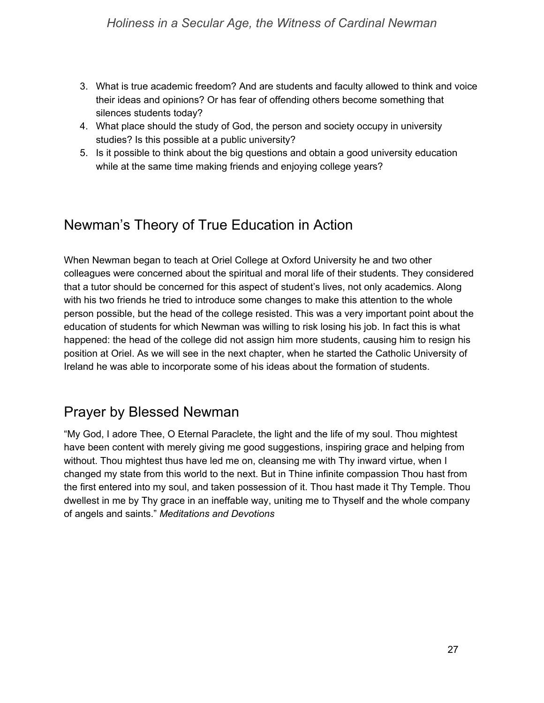- 3. What is true academic freedom? And are students and faculty allowed to think and voice their ideas and opinions? Or has fear of offending others become something that silences students today?
- 4. What place should the study of God, the person and society occupy in university studies? Is this possible at a public university?
- 5. Is it possible to think about the big questions and obtain a good university education while at the same time making friends and enjoying college years?

### <span id="page-26-0"></span>Newman's Theory of True Education in Action

When Newman began to teach at Oriel College at Oxford University he and two other colleagues were concerned about the spiritual and moral life of their students. They considered that a tutor should be concerned for this aspect of student's lives, not only academics. Along with his two friends he tried to introduce some changes to make this attention to the whole person possible, but the head of the college resisted. This was a very important point about the education of students for which Newman was willing to risk losing his job. In fact this is what happened: the head of the college did not assign him more students, causing him to resign his position at Oriel. As we will see in the next chapter, when he started the Catholic University of Ireland he was able to incorporate some of his ideas about the formation of students.

#### <span id="page-26-1"></span>Prayer by Blessed Newman

"My God, I adore Thee, O Eternal Paraclete, the light and the life of my soul. Thou mightest have been content with merely giving me good suggestions, inspiring grace and helping from without. Thou mightest thus have led me on, cleansing me with Thy inward virtue, when I changed my state from this world to the next. But in Thine infinite compassion Thou hast from the first entered into my soul, and taken possession of it. Thou hast made it Thy Temple. Thou dwellest in me by Thy grace in an ineffable way, uniting me to Thyself and the whole company of angels and saints." *Meditations and Devotions*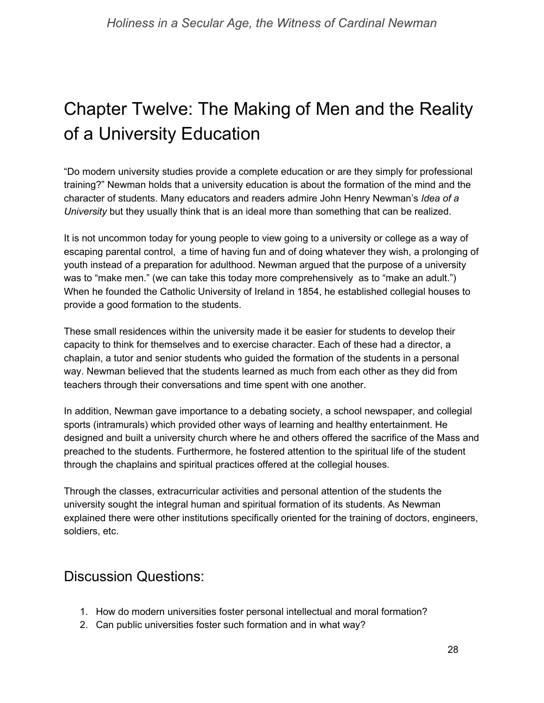# <span id="page-27-0"></span>Chapter Twelve: The Making of Men and the Reality of a University Education

"Do modern university studies provide a complete education or are they simply for professional training?" Newman holds that a university education is about the formation of the mind and the character of students. Many educators and readers admire John Henry Newman's *Idea of a University* but they usually think that is an ideal more than something that can be realized.

It is not uncommon today for young people to view going to a university or college as a way of escaping parental control, a time of having fun and of doing whatever they wish, a prolonging of youth instead of a preparation for adulthood. Newman argued that the purpose of a university was to "make men." (we can take this today more comprehensively as to "make an adult.") When he founded the Catholic University of Ireland in 1854, he established collegial houses to provide a good formation to the students.

These small residences within the university made it be easier for students to develop their capacity to think for themselves and to exercise character. Each of these had a director, a chaplain, a tutor and senior students who guided the formation of the students in a personal way. Newman believed that the students learned as much from each other as they did from teachers through their conversations and time spent with one another.

In addition, Newman gave importance to a debating society, a school newspaper, and collegial sports (intramurals) which provided other ways of learning and healthy entertainment. He designed and built a university church where he and others offered the sacrifice of the Mass and preached to the students. Furthermore, he fostered attention to the spiritual life of the student through the chaplains and spiritual practices offered at the collegial houses.

Through the classes, extracurricular activities and personal attention of the students the university sought the integral human and spiritual formation of its students. As Newman explained there were other institutions specifically oriented for the training of doctors, engineers, soldiers, etc.

- <span id="page-27-1"></span>1. How do modern universities foster personal intellectual and moral formation?
- 2. Can public universities foster such formation and in what way?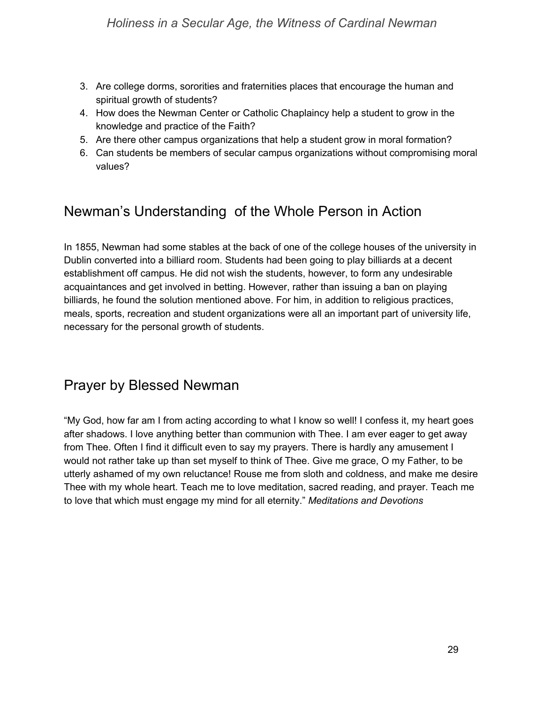- 3. Are college dorms, sororities and fraternities places that encourage the human and spiritual growth of students?
- 4. How does the Newman Center or Catholic Chaplaincy help a student to grow in the knowledge and practice of the Faith?
- 5. Are there other campus organizations that help a student grow in moral formation?
- 6. Can students be members of secular campus organizations without compromising moral values?

### <span id="page-28-0"></span>Newman's Understanding of the Whole Person in Action

In 1855, Newman had some stables at the back of one of the college houses of the university in Dublin converted into a billiard room. Students had been going to play billiards at a decent establishment off campus. He did not wish the students, however, to form any undesirable acquaintances and get involved in betting. However, rather than issuing a ban on playing billiards, he found the solution mentioned above. For him, in addition to religious practices, meals, sports, recreation and student organizations were all an important part of university life, necessary for the personal growth of students.

#### <span id="page-28-1"></span>Prayer by Blessed Newman

"My God, how far am I from acting according to what I know so well! I confess it, my heart goes after shadows. I love anything better than communion with Thee. I am ever eager to get away from Thee. Often I find it difficult even to say my prayers. There is hardly any amusement I would not rather take up than set myself to think of Thee. Give me grace, O my Father, to be utterly ashamed of my own reluctance! Rouse me from sloth and coldness, and make me desire Thee with my whole heart. Teach me to love meditation, sacred reading, and prayer. Teach me to love that which must engage my mind for all eternity." *Meditations and Devotions*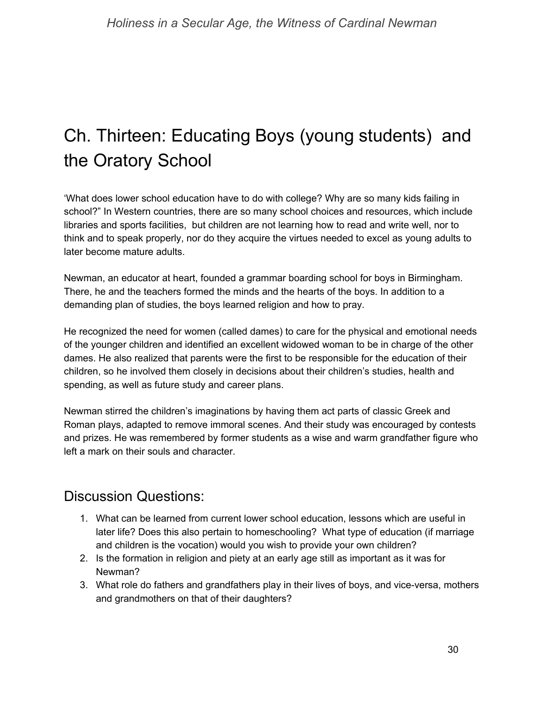## <span id="page-29-0"></span>Ch. Thirteen: Educating Boys (young students) and the Oratory School

'What does lower school education have to do with college? Why are so many kids failing in school?" In Western countries, there are so many school choices and resources, which include libraries and sports facilities, but children are not learning how to read and write well, nor to think and to speak properly, nor do they acquire the virtues needed to excel as young adults to later become mature adults.

Newman, an educator at heart, founded a grammar boarding school for boys in Birmingham. There, he and the teachers formed the minds and the hearts of the boys. In addition to a demanding plan of studies, the boys learned religion and how to pray.

He recognized the need for women (called dames) to care for the physical and emotional needs of the younger children and identified an excellent widowed woman to be in charge of the other dames. He also realized that parents were the first to be responsible for the education of their children, so he involved them closely in decisions about their children's studies, health and spending, as well as future study and career plans.

Newman stirred the children's imaginations by having them act parts of classic Greek and Roman plays, adapted to remove immoral scenes. And their study was encouraged by contests and prizes. He was remembered by former students as a wise and warm grandfather figure who left a mark on their souls and character.

- <span id="page-29-1"></span>1. What can be learned from current lower school education, lessons which are useful in later life? Does this also pertain to homeschooling? What type of education (if marriage and children is the vocation) would you wish to provide your own children?
- 2. Is the formation in religion and piety at an early age still as important as it was for Newman?
- 3. What role do fathers and grandfathers play in their lives of boys, and vice-versa, mothers and grandmothers on that of their daughters?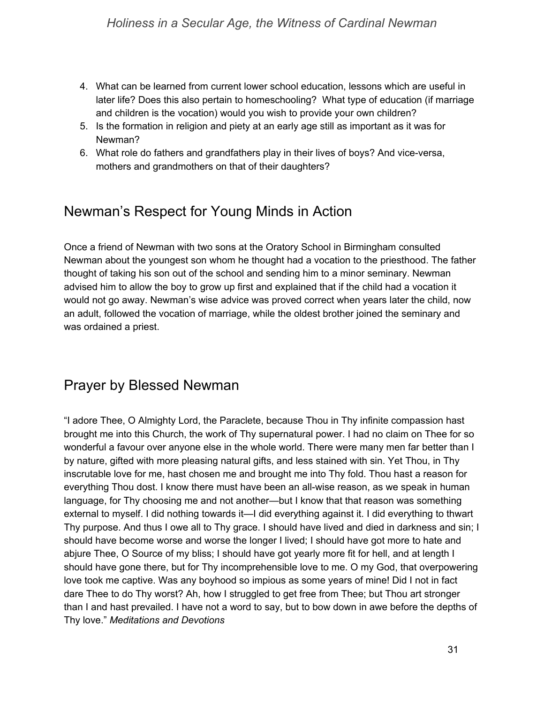- 4. What can be learned from current lower school education, lessons which are useful in later life? Does this also pertain to homeschooling? What type of education (if marriage and children is the vocation) would you wish to provide your own children?
- 5. Is the formation in religion and piety at an early age still as important as it was for Newman?
- 6. What role do fathers and grandfathers play in their lives of boys? And vice-versa, mothers and grandmothers on that of their daughters?

### <span id="page-30-0"></span>Newman's Respect for Young Minds in Action

Once a friend of Newman with two sons at the Oratory School in Birmingham consulted Newman about the youngest son whom he thought had a vocation to the priesthood. The father thought of taking his son out of the school and sending him to a minor seminary. Newman advised him to allow the boy to grow up first and explained that if the child had a vocation it would not go away. Newman's wise advice was proved correct when years later the child, now an adult, followed the vocation of marriage, while the oldest brother joined the seminary and was ordained a priest.

#### <span id="page-30-1"></span>Prayer by Blessed Newman

"I adore Thee, O Almighty Lord, the Paraclete, because Thou in Thy infinite compassion hast brought me into this Church, the work of Thy supernatural power. I had no claim on Thee for so wonderful a favour over anyone else in the whole world. There were many men far better than I by nature, gifted with more pleasing natural gifts, and less stained with sin. Yet Thou, in Thy inscrutable love for me, hast chosen me and brought me into Thy fold. Thou hast a reason for everything Thou dost. I know there must have been an all-wise reason, as we speak in human language, for Thy choosing me and not another—but I know that that reason was something external to myself. I did nothing towards it—I did everything against it. I did everything to thwart Thy purpose. And thus I owe all to Thy grace. I should have lived and died in darkness and sin; I should have become worse and worse the longer I lived; I should have got more to hate and abjure Thee, O Source of my bliss; I should have got yearly more fit for hell, and at length I should have gone there, but for Thy incomprehensible love to me. O my God, that overpowering love took me captive. Was any boyhood so impious as some years of mine! Did I not in fact dare Thee to do Thy worst? Ah, how I struggled to get free from Thee; but Thou art stronger than I and hast prevailed. I have not a word to say, but to bow down in awe before the depths of Thy love." *Meditations and Devotions*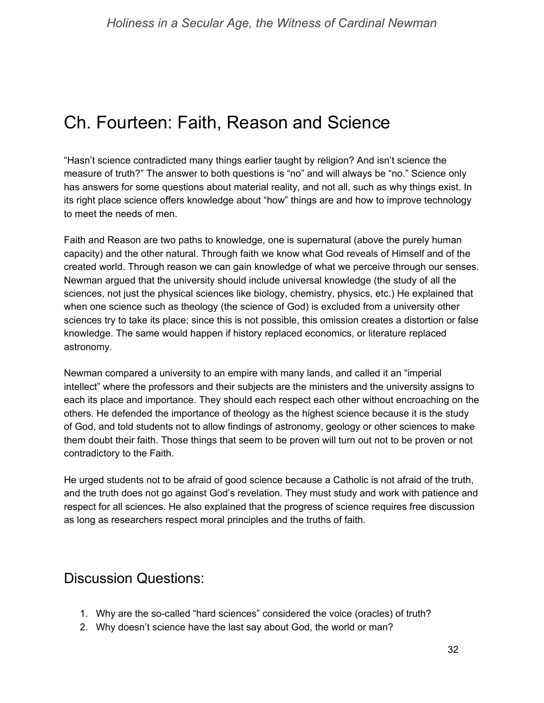### <span id="page-31-0"></span>Ch. Fourteen: Faith, Reason and Science

"Hasn't science contradicted many things earlier taught by religion? And isn't science the measure of truth?" The answer to both questions is "no" and will always be "no." Science only has answers for some questions about material reality, and not all, such as why things exist. In its right place science offers knowledge about "how" things are and how to improve technology to meet the needs of men.

Faith and Reason are two paths to knowledge, one is supernatural (above the purely human capacity) and the other natural. Through faith we know what God reveals of Himself and of the created world. Through reason we can gain knowledge of what we perceive through our senses. Newman argued that the university should include universal knowledge (the study of all the sciences, not just the physical sciences like biology, chemistry, physics, etc.) He explained that when one science such as theology (the science of God) is excluded from a university other sciences try to take its place; since this is not possible, this omission creates a distortion or false knowledge. The same would happen if history replaced economics, or literature replaced astronomy.

Newman compared a university to an empire with many lands, and called it an "imperial intellect" where the professors and their subjects are the ministers and the university assigns to each its place and importance. They should each respect each other without encroaching on the others. He defended the importance of theology as the highest science because it is the study of God, and told students not to allow findings of astronomy, geology or other sciences to make them doubt their faith. Those things that seem to be proven will turn out not to be proven or not contradictory to the Faith.

He urged students not to be afraid of good science because a Catholic is not afraid of the truth, and the truth does not go against God's revelation. They must study and work with patience and respect for all sciences. He also explained that the progress of science requires free discussion as long as researchers respect moral principles and the truths of faith.

- <span id="page-31-1"></span>1. Why are the so-called "hard sciences" considered the voice (oracles) of truth?
- 2. Why doesn't science have the last say about God, the world or man?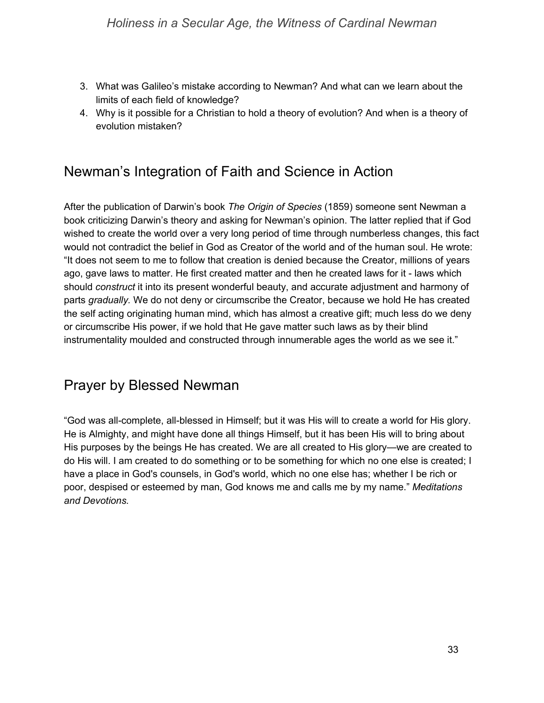- 3. What was Galileo's mistake according to Newman? And what can we learn about the limits of each field of knowledge?
- 4. Why is it possible for a Christian to hold a theory of evolution? And when is a theory of evolution mistaken?

#### <span id="page-32-0"></span>Newman's Integration of Faith and Science in Action

After the publication of Darwin's book *The Origin of Species* (1859) someone sent Newman a book criticizing Darwin's theory and asking for Newman's opinion. The latter replied that if God wished to create the world over a very long period of time through numberless changes, this fact would not contradict the belief in God as Creator of the world and of the human soul. He wrote: "It does not seem to me to follow that creation is denied because the Creator, millions of years ago, gave laws to matter. He first created matter and then he created laws for it - laws which should *construct* it into its present wonderful beauty, and accurate adjustment and harmony of parts *gradually.* We do not deny or circumscribe the Creator, because we hold He has created the self acting originating human mind, which has almost a creative gift; much less do we deny or circumscribe His power, if we hold that He gave matter such laws as by their blind instrumentality moulded and constructed through innumerable ages the world as we see it."

#### <span id="page-32-1"></span>Prayer by Blessed Newman

"God was all-complete, all-blessed in Himself; but it was His will to create a world for His glory. He is Almighty, and might have done all things Himself, but it has been His will to bring about His purposes by the beings He has created. We are all created to His glory—we are created to do His will. I am created to do something or to be something for which no one else is created; I have a place in God's counsels, in God's world, which no one else has; whether I be rich or poor, despised or esteemed by man, God knows me and calls me by my name." *Meditations and Devotions.*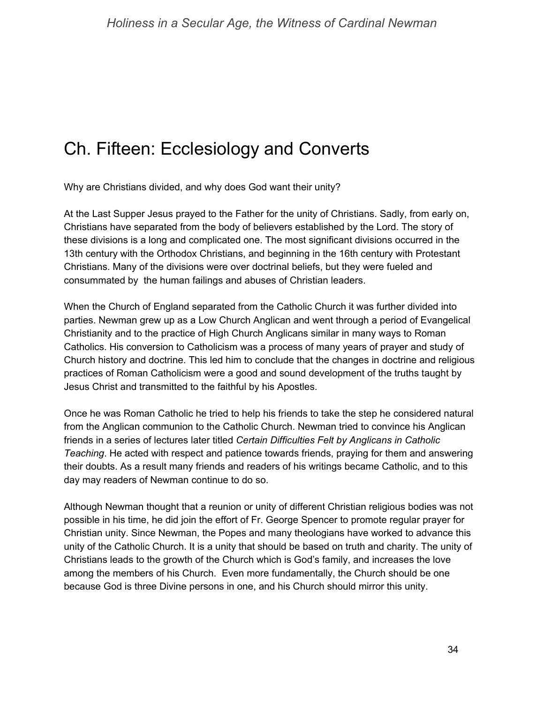## <span id="page-33-0"></span>Ch. Fifteen: Ecclesiology and Converts

Why are Christians divided, and why does God want their unity?

At the Last Supper Jesus prayed to the Father for the unity of Christians. Sadly, from early on, Christians have separated from the body of believers established by the Lord. The story of these divisions is a long and complicated one. The most significant divisions occurred in the 13th century with the Orthodox Christians, and beginning in the 16th century with Protestant Christians. Many of the divisions were over doctrinal beliefs, but they were fueled and consummated by the human failings and abuses of Christian leaders.

When the Church of England separated from the Catholic Church it was further divided into parties. Newman grew up as a Low Church Anglican and went through a period of Evangelical Christianity and to the practice of High Church Anglicans similar in many ways to Roman Catholics. His conversion to Catholicism was a process of many years of prayer and study of Church history and doctrine. This led him to conclude that the changes in doctrine and religious practices of Roman Catholicism were a good and sound development of the truths taught by Jesus Christ and transmitted to the faithful by his Apostles.

Once he was Roman Catholic he tried to help his friends to take the step he considered natural from the Anglican communion to the Catholic Church. Newman tried to convince his Anglican friends in a series of lectures later titled *Certain Difficulties Felt by Anglicans in Catholic Teaching*. He acted with respect and patience towards friends, praying for them and answering their doubts. As a result many friends and readers of his writings became Catholic, and to this day may readers of Newman continue to do so.

Although Newman thought that a reunion or unity of different Christian religious bodies was not possible in his time, he did join the effort of Fr. George Spencer to promote regular prayer for Christian unity. Since Newman, the Popes and many theologians have worked to advance this unity of the Catholic Church. It is a unity that should be based on truth and charity. The unity of Christians leads to the growth of the Church which is God's family, and increases the love among the members of his Church. Even more fundamentally, the Church should be one because God is three Divine persons in one, and his Church should mirror this unity.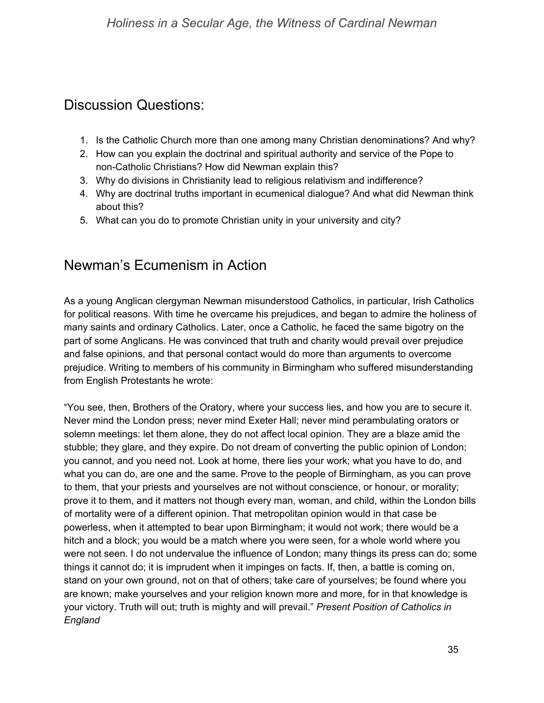#### <span id="page-34-0"></span>Discussion Questions:

- 1. Is the Catholic Church more than one among many Christian denominations? And why?
- 2. How can you explain the doctrinal and spiritual authority and service of the Pope to non-Catholic Christians? How did Newman explain this?
- 3. Why do divisions in Christianity lead to religious relativism and indifference?
- 4. Why are doctrinal truths important in ecumenical dialogue? And what did Newman think about this?
- 5. What can you do to promote Christian unity in your university and city?

#### <span id="page-34-1"></span>Newman's Ecumenism in Action

As a young Anglican clergyman Newman misunderstood Catholics, in particular, Irish Catholics for political reasons. With time he overcame his prejudices, and began to admire the holiness of many saints and ordinary Catholics. Later, once a Catholic, he faced the same bigotry on the part of some Anglicans. He was convinced that truth and charity would prevail over prejudice and false opinions, and that personal contact would do more than arguments to overcome prejudice. Writing to members of his community in Birmingham who suffered misunderstanding from English Protestants he wrote:

"You see, then, Brothers of the Oratory, where your success lies, and how you are to secure it. Never mind the London press; never mind Exeter Hall; never mind perambulating orators or solemn meetings: let them alone, they do not affect local opinion. They are a blaze amid the stubble; they glare, and they expire. Do not dream of converting the public opinion of London; you cannot, and you need not. Look at home, there lies your work; what you have to do, and what you can do, are one and the same. Prove to the people of Birmingham, as you can prove to them, that your priests and yourselves are not without conscience, or honour, or morality; prove it to them, and it matters not though every man, woman, and child, within the London bills of mortality were of a different opinion. That metropolitan opinion would in that case be powerless, when it attempted to bear upon Birmingham; it would not work; there would be a hitch and a block; you would be a match where you were seen, for a whole world where you were not seen. I do not undervalue the influence of London; many things its press can do; some things it cannot do; it is imprudent when it impinges on facts. If, then, a battle is coming on, stand on your own ground, not on that of others; take care of yourselves; be found where you are known; make yourselves and your religion known more and more, for in that knowledge is your victory. Truth will out; truth is mighty and will prevail." *Present Position of Catholics in England*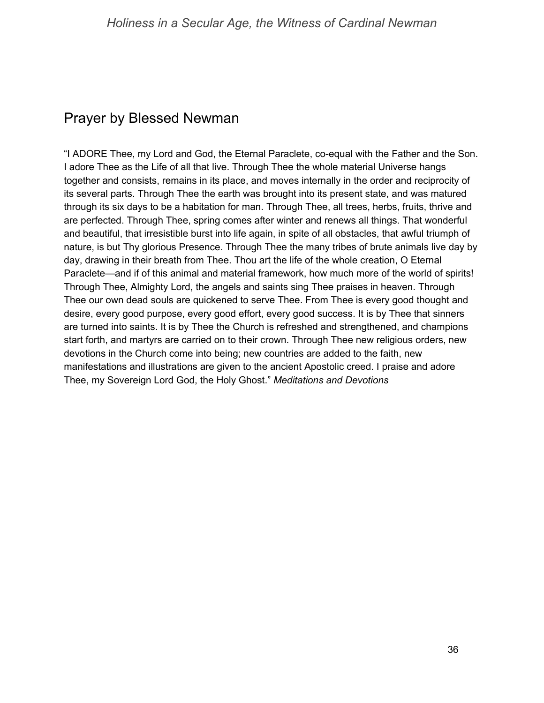#### <span id="page-35-0"></span>Prayer by Blessed Newman

"I ADORE Thee, my Lord and God, the Eternal Paraclete, co-equal with the Father and the Son. I adore Thee as the Life of all that live. Through Thee the whole material Universe hangs together and consists, remains in its place, and moves internally in the order and reciprocity of its several parts. Through Thee the earth was brought into its present state, and was matured through its six days to be a habitation for man. Through Thee, all trees, herbs, fruits, thrive and are perfected. Through Thee, spring comes after winter and renews all things. That wonderful and beautiful, that irresistible burst into life again, in spite of all obstacles, that awful triumph of nature, is but Thy glorious Presence. Through Thee the many tribes of brute animals live day by day, drawing in their breath from Thee. Thou art the life of the whole creation, O Eternal Paraclete—and if of this animal and material framework, how much more of the world of spirits! Through Thee, Almighty Lord, the angels and saints sing Thee praises in heaven. Through Thee our own dead souls are quickened to serve Thee. From Thee is every good thought and desire, every good purpose, every good effort, every good success. It is by Thee that sinners are turned into saints. It is by Thee the Church is refreshed and strengthened, and champions start forth, and martyrs are carried on to their crown. Through Thee new religious orders, new devotions in the Church come into being; new countries are added to the faith, new manifestations and illustrations are given to the ancient Apostolic creed. I praise and adore Thee, my Sovereign Lord God, the Holy Ghost." *Meditations and Devotions*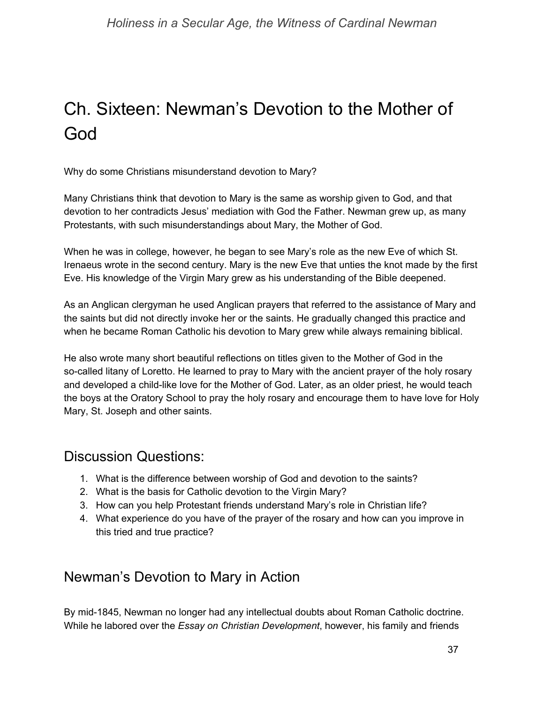# <span id="page-36-0"></span>Ch. Sixteen: Newman's Devotion to the Mother of God

Why do some Christians misunderstand devotion to Mary?

Many Christians think that devotion to Mary is the same as worship given to God, and that devotion to her contradicts Jesus' mediation with God the Father. Newman grew up, as many Protestants, with such misunderstandings about Mary, the Mother of God.

When he was in college, however, he began to see Mary's role as the new Eve of which St. Irenaeus wrote in the second century. Mary is the new Eve that unties the knot made by the first Eve. His knowledge of the Virgin Mary grew as his understanding of the Bible deepened.

As an Anglican clergyman he used Anglican prayers that referred to the assistance of Mary and the saints but did not directly invoke her or the saints. He gradually changed this practice and when he became Roman Catholic his devotion to Mary grew while always remaining biblical.

He also wrote many short beautiful reflections on titles given to the Mother of God in the so-called litany of Loretto. He learned to pray to Mary with the ancient prayer of the holy rosary and developed a child-like love for the Mother of God. Later, as an older priest, he would teach the boys at the Oratory School to pray the holy rosary and encourage them to have love for Holy Mary, St. Joseph and other saints.

#### <span id="page-36-1"></span>Discussion Questions:

- 1. What is the difference between worship of God and devotion to the saints?
- 2. What is the basis for Catholic devotion to the Virgin Mary?
- 3. How can you help Protestant friends understand Mary's role in Christian life?
- 4. What experience do you have of the prayer of the rosary and how can you improve in this tried and true practice?

### <span id="page-36-2"></span>Newman's Devotion to Mary in Action

By mid-1845, Newman no longer had any intellectual doubts about Roman Catholic doctrine. While he labored over the *Essay on Christian Development*, however, his family and friends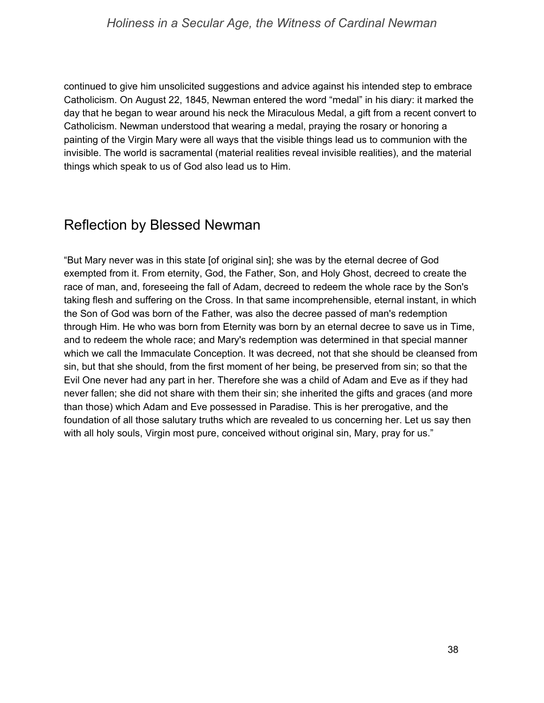#### *Holiness in a Secular Age, the Witness of Cardinal Newman*

continued to give him unsolicited suggestions and advice against his intended step to embrace Catholicism. On August 22, 1845, Newman entered the word "medal" in his diary: it marked the day that he began to wear around his neck the Miraculous Medal, a gift from a recent convert to Catholicism. Newman understood that wearing a medal, praying the rosary or honoring a painting of the Virgin Mary were all ways that the visible things lead us to communion with the invisible. The world is sacramental (material realities reveal invisible realities), and the material things which speak to us of God also lead us to Him.

#### <span id="page-37-0"></span>Reflection by Blessed Newman

"But Mary never was in this state [of original sin]; she was by the eternal decree of God exempted from it. From eternity, God, the Father, Son, and Holy Ghost, decreed to create the race of man, and, foreseeing the fall of Adam, decreed to redeem the whole race by the Son's taking flesh and suffering on the Cross. In that same incomprehensible, eternal instant, in which the Son of God was born of the Father, was also the decree passed of man's redemption through Him. He who was born from Eternity was born by an eternal decree to save us in Time, and to redeem the whole race; and Mary's redemption was determined in that special manner which we call the Immaculate Conception. It was decreed, not that she should be cleansed from sin, but that she should, from the first moment of her being, be preserved from sin; so that the Evil One never had any part in her. Therefore she was a child of Adam and Eve as if they had never fallen; she did not share with them their sin; she inherited the gifts and graces (and more than those) which Adam and Eve possessed in Paradise. This is her prerogative, and the foundation of all those salutary truths which are revealed to us concerning her. Let us say then with all holy souls, Virgin most pure, conceived without original sin, Mary, pray for us."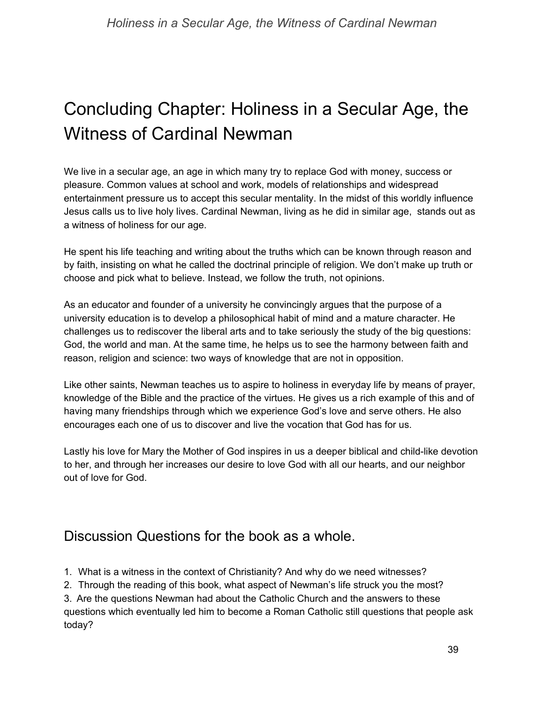## <span id="page-38-0"></span>Concluding Chapter: Holiness in a Secular Age, the Witness of Cardinal Newman

We live in a secular age, an age in which many try to replace God with money, success or pleasure. Common values at school and work, models of relationships and widespread entertainment pressure us to accept this secular mentality. In the midst of this worldly influence Jesus calls us to live holy lives. Cardinal Newman, living as he did in similar age, stands out as a witness of holiness for our age.

He spent his life teaching and writing about the truths which can be known through reason and by faith, insisting on what he called the doctrinal principle of religion. We don't make up truth or choose and pick what to believe. Instead, we follow the truth, not opinions.

As an educator and founder of a university he convincingly argues that the purpose of a university education is to develop a philosophical habit of mind and a mature character. He challenges us to rediscover the liberal arts and to take seriously the study of the big questions: God, the world and man. At the same time, he helps us to see the harmony between faith and reason, religion and science: two ways of knowledge that are not in opposition.

Like other saints, Newman teaches us to aspire to holiness in everyday life by means of prayer, knowledge of the Bible and the practice of the virtues. He gives us a rich example of this and of having many friendships through which we experience God's love and serve others. He also encourages each one of us to discover and live the vocation that God has for us.

Lastly his love for Mary the Mother of God inspires in us a deeper biblical and child-like devotion to her, and through her increases our desire to love God with all our hearts, and our neighbor out of love for God.

#### <span id="page-38-1"></span>Discussion Questions for the book as a whole.

- 1. What is a witness in the context of Christianity? And why do we need witnesses?
- 2. Through the reading of this book, what aspect of Newman's life struck you the most?

3. Are the questions Newman had about the Catholic Church and the answers to these questions which eventually led him to become a Roman Catholic still questions that people ask today?